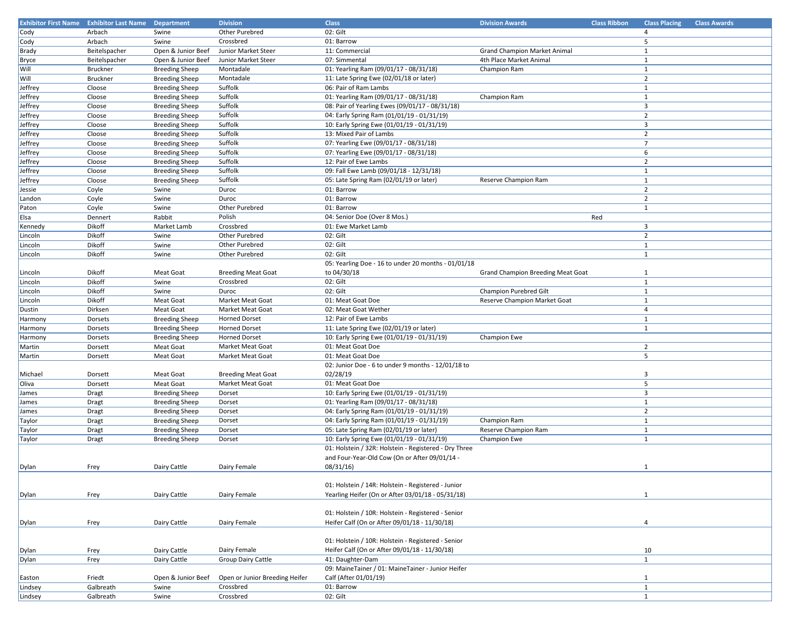|              | <b>Exhibitor First Name</b> Exhibitor Last Name Department |                       | <b>Division</b>                | <b>Class</b>                                          | <b>Division Awards</b>                   | <b>Class Ribbon</b> | <b>Class Placing</b>           | <b>Class Awards</b> |
|--------------|------------------------------------------------------------|-----------------------|--------------------------------|-------------------------------------------------------|------------------------------------------|---------------------|--------------------------------|---------------------|
| Cody         | Arbach                                                     | Swine                 | Other Purebred                 | 02: Gilt                                              |                                          |                     | $\overline{4}$                 |                     |
| Cody         | Arbach                                                     | Swine                 | Crossbred                      | 01: Barrow                                            |                                          |                     | 5                              |                     |
| Brady        | Beitelspacher                                              | Open & Junior Beef    | Junior Market Steer            | 11: Commercial                                        | <b>Grand Champion Market Animal</b>      |                     | $\mathbf{1}$                   |                     |
| <b>Bryce</b> | Beitelspacher                                              | Open & Junior Beef    | Junior Market Steer            | 07: Simmental                                         | 4th Place Market Animal                  |                     | 1                              |                     |
| Will         | Bruckner                                                   | <b>Breeding Sheep</b> | Montadale                      | 01: Yearling Ram (09/01/17 - 08/31/18)                | Champion Ram                             |                     | 1                              |                     |
| Will         | Bruckner                                                   | <b>Breeding Sheep</b> | Montadale                      | 11: Late Spring Ewe (02/01/18 or later)               |                                          |                     | $\overline{2}$                 |                     |
| Jeffrey      | Cloose                                                     | <b>Breeding Sheep</b> | Suffolk                        | 06: Pair of Ram Lambs                                 |                                          |                     | $\mathbf{1}$                   |                     |
| Jeffrey      | Cloose                                                     | <b>Breeding Sheep</b> | Suffolk                        | 01: Yearling Ram (09/01/17 - 08/31/18)                | Champion Ram                             |                     | $\mathbf{1}$                   |                     |
| Jeffrey      | Cloose                                                     | <b>Breeding Sheep</b> | Suffolk                        | 08: Pair of Yearling Ewes (09/01/17 - 08/31/18)       |                                          |                     | $\overline{3}$                 |                     |
| Jeffrey      | Cloose                                                     | <b>Breeding Sheep</b> | Suffolk                        | 04: Early Spring Ram (01/01/19 - 01/31/19)            |                                          |                     | $\overline{2}$                 |                     |
| Jeffrey      | Cloose                                                     | <b>Breeding Sheep</b> | Suffolk                        | 10: Early Spring Ewe (01/01/19 - 01/31/19)            |                                          |                     | $\overline{3}$                 |                     |
| Jeffrey      | Cloose                                                     | <b>Breeding Sheep</b> | Suffolk                        | 13: Mixed Pair of Lambs                               |                                          |                     | $\overline{2}$                 |                     |
| Jeffrey      | Cloose                                                     | <b>Breeding Sheep</b> | Suffolk                        | 07: Yearling Ewe (09/01/17 - 08/31/18)                |                                          |                     | $\overline{7}$                 |                     |
| Jeffrey      | Cloose                                                     | <b>Breeding Sheep</b> | Suffolk                        | 07: Yearling Ewe (09/01/17 - 08/31/18)                |                                          |                     | 6                              |                     |
| Jeffrey      | Cloose                                                     | <b>Breeding Sheep</b> | Suffolk                        | 12: Pair of Ewe Lambs                                 |                                          |                     | $\overline{2}$                 |                     |
| Jeffrey      | Cloose                                                     | <b>Breeding Sheep</b> | Suffolk                        | 09: Fall Ewe Lamb (09/01/18 - 12/31/18)               |                                          |                     | $\mathbf{1}$                   |                     |
| Jeffrey      | Cloose                                                     | <b>Breeding Sheep</b> | Suffolk                        | 05: Late Spring Ram (02/01/19 or later)               | Reserve Champion Ram                     |                     | 1                              |                     |
| Jessie       | Coyle                                                      | Swine                 | Duroc                          | 01: Barrow                                            |                                          |                     | $\overline{2}$                 |                     |
| Landon       | Coyle                                                      | Swine                 | Duroc                          | 01: Barrow                                            |                                          |                     | $\overline{2}$                 |                     |
| Paton        | Coyle                                                      | Swine                 | Other Purebred                 | 01: Barrow                                            |                                          |                     | $\mathbf{1}$                   |                     |
| Elsa         | Dennert                                                    | Rabbit                | Polish                         | 04: Senior Doe (Over 8 Mos.)                          |                                          | Red                 |                                |                     |
| Kennedy      | Dikoff                                                     | Market Lamb           | Crossbred                      | 01: Ewe Market Lamb                                   |                                          |                     | $\overline{3}$                 |                     |
| Lincoln      | Dikoff                                                     | Swine                 | Other Purebred                 | 02: Gilt                                              |                                          |                     | $\overline{2}$                 |                     |
| Lincoln      | Dikoff                                                     | Swine                 | Other Purebred                 | 02: Gilt                                              |                                          |                     | $\mathbf{1}$                   |                     |
| Lincoln      | Dikoff                                                     | Swine                 | Other Purebred                 | 02: Gilt                                              |                                          |                     | 1                              |                     |
|              |                                                            |                       |                                | 05: Yearling Doe - 16 to under 20 months - 01/01/18   |                                          |                     |                                |                     |
| Lincoln      | Dikoff                                                     | Meat Goat             | <b>Breeding Meat Goat</b>      | to 04/30/18                                           | <b>Grand Champion Breeding Meat Goat</b> |                     | 1                              |                     |
| Lincoln      | Dikoff                                                     | Swine                 | Crossbred                      | 02: Gilt                                              |                                          |                     | 1                              |                     |
| Lincoln      | Dikoff                                                     | Swine                 | Duroc                          | 02: Gilt                                              | Champion Purebred Gilt                   |                     | 1                              |                     |
| Lincoln      | Dikoff                                                     | Meat Goat             | <b>Market Meat Goat</b>        | 01: Meat Goat Doe                                     | Reserve Champion Market Goat             |                     | 1                              |                     |
| Dustin       | Dirksen                                                    | Meat Goat             | Market Meat Goat               | 02: Meat Goat Wether                                  |                                          |                     | $\overline{4}$                 |                     |
| Harmony      | Dorsets                                                    | <b>Breeding Sheep</b> | <b>Horned Dorset</b>           | 12: Pair of Ewe Lambs                                 |                                          |                     | $\mathbf{1}$                   |                     |
| Harmony      | Dorsets                                                    | <b>Breeding Sheep</b> | <b>Horned Dorset</b>           | 11: Late Spring Ewe (02/01/19 or later)               |                                          |                     | $\mathbf{1}$                   |                     |
| Harmony      | Dorsets                                                    | <b>Breeding Sheep</b> | <b>Horned Dorset</b>           | 10: Early Spring Ewe (01/01/19 - 01/31/19)            | Champion Ewe                             |                     |                                |                     |
| Martin       | Dorsett                                                    | Meat Goat             | Market Meat Goat               | 01: Meat Goat Doe                                     |                                          |                     | $\overline{2}$                 |                     |
| Martin       | Dorsett                                                    | Meat Goat             | Market Meat Goat               | 01: Meat Goat Doe                                     |                                          |                     | 5                              |                     |
|              |                                                            |                       |                                | 02: Junior Doe - 6 to under 9 months - 12/01/18 to    |                                          |                     |                                |                     |
| Michael      | Dorsett                                                    | Meat Goat             | <b>Breeding Meat Goat</b>      | 02/28/19                                              |                                          |                     | $\overline{3}$                 |                     |
| Oliva        | Dorsett                                                    | Meat Goat             | Market Meat Goat               | 01: Meat Goat Doe                                     |                                          |                     | 5                              |                     |
|              |                                                            |                       |                                | 10: Early Spring Ewe (01/01/19 - 01/31/19)            |                                          |                     | $\overline{3}$                 |                     |
| James        | Dragt                                                      | <b>Breeding Sheep</b> | Dorset                         |                                                       |                                          |                     |                                |                     |
| James        | <b>Dragt</b>                                               | <b>Breeding Sheep</b> | Dorset                         | 01: Yearling Ram (09/01/17 - 08/31/18)                |                                          |                     | $\mathbf{1}$<br>$\overline{2}$ |                     |
| James        | <b>Dragt</b>                                               | <b>Breeding Sheep</b> | Dorset                         | 04: Early Spring Ram (01/01/19 - 01/31/19)            |                                          |                     |                                |                     |
| Taylor       | Dragt                                                      | <b>Breeding Sheep</b> | Dorset                         | 04: Early Spring Ram (01/01/19 - 01/31/19)            | Champion Ram                             |                     | 1<br>$\mathbf{1}$              |                     |
| Taylor       | Dragt                                                      | <b>Breeding Sheep</b> | Dorset                         | 05: Late Spring Ram (02/01/19 or later)               | Reserve Champion Ram                     |                     |                                |                     |
| Taylor       | Dragt                                                      | <b>Breeding Sheep</b> | Dorset                         | 10: Early Spring Ewe (01/01/19 - 01/31/19)            | Champion Ewe                             |                     | $\mathbf{1}$                   |                     |
|              |                                                            |                       |                                | 01: Holstein / 32R: Holstein - Registered - Dry Three |                                          |                     |                                |                     |
|              |                                                            |                       |                                | and Four-Year-Old Cow (On or After 09/01/14 -         |                                          |                     |                                |                     |
| Dylan        | Frey                                                       | Dairy Cattle          | Dairy Female                   | 08/31/16                                              |                                          |                     | 1                              |                     |
|              |                                                            |                       |                                |                                                       |                                          |                     |                                |                     |
|              |                                                            |                       |                                | 01: Holstein / 14R: Holstein - Registered - Junior    |                                          |                     |                                |                     |
| Dylan        | Frey                                                       | Dairy Cattle          | Dairy Female                   | Yearling Heifer (On or After 03/01/18 - 05/31/18)     |                                          |                     | 1                              |                     |
|              |                                                            |                       |                                |                                                       |                                          |                     |                                |                     |
|              |                                                            |                       |                                | 01: Holstein / 10R: Holstein - Registered - Senior    |                                          |                     |                                |                     |
| Dylan        | Frey                                                       | Dairy Cattle          | Dairy Female                   | Heifer Calf (On or After 09/01/18 - 11/30/18)         |                                          |                     | 4                              |                     |
|              |                                                            |                       |                                |                                                       |                                          |                     |                                |                     |
|              |                                                            |                       |                                | 01: Holstein / 10R: Holstein - Registered - Senior    |                                          |                     |                                |                     |
| Dylan        | Frey                                                       | Dairy Cattle          | Dairy Female                   | Heifer Calf (On or After 09/01/18 - 11/30/18)         |                                          |                     | 10                             |                     |
| Dylan        | Frey                                                       | Dairy Cattle          | Group Dairy Cattle             | 41: Daughter-Dam                                      |                                          |                     | $\mathbf{1}$                   |                     |
|              |                                                            |                       |                                | 09: MaineTainer / 01: MaineTainer - Junior Heifer     |                                          |                     |                                |                     |
| Easton       | Friedt                                                     | Open & Junior Beef    | Open or Junior Breeding Heifer | Calf (After 01/01/19)                                 |                                          |                     | $\mathbf{1}$                   |                     |
| Lindsey      | Galbreath                                                  | Swine                 | Crossbred                      | 01: Barrow                                            |                                          |                     | $\mathbf{1}$                   |                     |
| Lindsey      | Galbreath                                                  | Swine                 | Crossbred                      | 02: Gilt                                              |                                          |                     | 1                              |                     |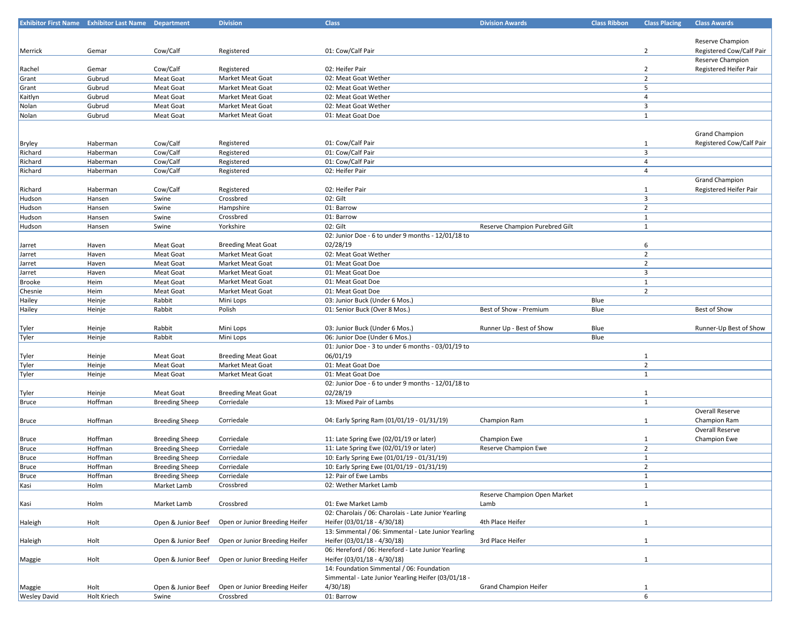|                     | <b>Exhibitor First Name Exhibitor Last Name Department</b> |                        | <b>Division</b>                | <b>Class</b>                                         | <b>Division Awards</b>         | <b>Class Ribbon</b> | <b>Class Placing</b>    | <b>Class Awards</b>      |
|---------------------|------------------------------------------------------------|------------------------|--------------------------------|------------------------------------------------------|--------------------------------|---------------------|-------------------------|--------------------------|
|                     |                                                            |                        |                                |                                                      |                                |                     |                         |                          |
|                     |                                                            |                        |                                |                                                      |                                |                     |                         | Reserve Champion         |
| Merrick             | Gemar                                                      | Cow/Calf               | Registered                     | 01: Cow/Calf Pair                                    |                                |                     | $\overline{2}$          | Registered Cow/Calf Pair |
|                     |                                                            |                        |                                |                                                      |                                |                     |                         | Reserve Champion         |
| Rachel              | Gemar                                                      | Cow/Calf               | Registered                     | 02: Heifer Pair                                      |                                |                     | $\overline{2}$          | Registered Heifer Pair   |
| Grant               | Gubrud                                                     | Meat Goat              | Market Meat Goat               | 02: Meat Goat Wether                                 |                                |                     | $\overline{2}$          |                          |
| Grant               | Gubrud                                                     | Meat Goat              | Market Meat Goat               | 02: Meat Goat Wether                                 |                                |                     | 5                       |                          |
| Kaitlyn             | Gubrud                                                     | Meat Goat              | Market Meat Goat               | 02: Meat Goat Wether                                 |                                |                     | $\overline{4}$          |                          |
| Nolan               | Gubrud                                                     | Meat Goat              | Market Meat Goat               | 02: Meat Goat Wether                                 |                                |                     | $\overline{3}$          |                          |
| Nolan               | Gubrud                                                     | Meat Goat              | Market Meat Goat               | 01: Meat Goat Doe                                    |                                |                     | $\mathbf{1}$            |                          |
|                     |                                                            |                        |                                |                                                      |                                |                     |                         |                          |
|                     |                                                            |                        |                                |                                                      |                                |                     |                         | <b>Grand Champion</b>    |
| Bryley              | Haberman                                                   | Cow/Calf               | Registered                     | 01: Cow/Calf Pair                                    |                                |                     | 1                       | Registered Cow/Calf Pair |
| Richard             | Haberman                                                   | Cow/Calf               | Registered                     | 01: Cow/Calf Pair                                    |                                |                     | $\overline{\mathbf{3}}$ |                          |
| Richard             | Haberman                                                   | Cow/Calf               | Registered                     | 01: Cow/Calf Pair                                    |                                |                     | $\overline{4}$          |                          |
| Richard             | Haberman                                                   | Cow/Calf               | Registered                     | 02: Heifer Pair                                      |                                |                     | $\overline{4}$          |                          |
|                     |                                                            |                        |                                |                                                      |                                |                     |                         | <b>Grand Champion</b>    |
| Richard             | Haberman                                                   | Cow/Calf               | Registered                     | 02: Heifer Pair                                      |                                |                     | 1                       | Registered Heifer Pair   |
| Hudson              | Hansen                                                     | Swine                  | Crossbred                      | 02: Gilt                                             |                                |                     | $\overline{\mathbf{3}}$ |                          |
| Hudson              | Hansen                                                     | Swine                  | Hampshire                      | 01: Barrow                                           |                                |                     | $\overline{2}$          |                          |
| Hudson              | Hansen                                                     | Swine                  | Crossbred                      | 01: Barrow                                           |                                |                     | $\mathbf{1}$            |                          |
|                     | Hansen                                                     | Swine                  | Yorkshire                      | 02: Gilt                                             | Reserve Champion Purebred Gilt |                     | $\mathbf{1}$            |                          |
| Hudson              |                                                            |                        |                                | 02: Junior Doe - 6 to under 9 months - 12/01/18 to   |                                |                     |                         |                          |
|                     |                                                            |                        | <b>Breeding Meat Goat</b>      | 02/28/19                                             |                                |                     |                         |                          |
| Jarret              | Haven                                                      | Meat Goat<br>Meat Goat |                                | 02: Meat Goat Wether                                 |                                |                     | 6<br>$\overline{2}$     |                          |
| Jarret              | Haven                                                      |                        | Market Meat Goat               |                                                      |                                |                     | $\overline{2}$          |                          |
| Jarret              | Haven                                                      | Meat Goat              | Market Meat Goat               | 01: Meat Goat Doe                                    |                                |                     |                         |                          |
| Jarret              | Haven                                                      | Meat Goat              | Market Meat Goat               | 01: Meat Goat Doe                                    |                                |                     | $\overline{\mathbf{3}}$ |                          |
| <b>Brooke</b>       | Heim                                                       | Meat Goat              | Market Meat Goat               | 01: Meat Goat Doe                                    |                                |                     | 1                       |                          |
| Chesnie             | Heim                                                       | Meat Goat              | Market Meat Goat               | 01: Meat Goat Doe                                    |                                |                     | $\overline{2}$          |                          |
| Hailey              | Heinje                                                     | Rabbit                 | Mini Lops                      | 03: Junior Buck (Under 6 Mos.)                       |                                | Blue                |                         |                          |
| Hailey              | Heinje                                                     | Rabbit                 | Polish                         | 01: Senior Buck (Over 8 Mos.)                        | Best of Show - Premium         | Blue                |                         | Best of Show             |
|                     |                                                            |                        |                                |                                                      |                                |                     |                         |                          |
| Tyler               | Heinje                                                     | Rabbit                 | Mini Lops                      | 03: Junior Buck (Under 6 Mos.)                       | Runner Up - Best of Show       | Blue                |                         | Runner-Up Best of Show   |
| Tyler               | Heinje                                                     | Rabbit                 | Mini Lops                      | 06: Junior Doe (Under 6 Mos.)                        |                                | Blue                |                         |                          |
|                     |                                                            |                        |                                | 01: Junior Doe - 3 to under 6 months - 03/01/19 to   |                                |                     |                         |                          |
| Tyler               | Heinje                                                     | Meat Goat              | <b>Breeding Meat Goat</b>      | 06/01/19                                             |                                |                     | $\mathbf{1}$            |                          |
| Tyler               | Heinje                                                     | Meat Goat              | Market Meat Goat               | 01: Meat Goat Doe                                    |                                |                     | $\overline{2}$          |                          |
| Tyler               | Heinje                                                     | Meat Goat              | Market Meat Goat               | 01: Meat Goat Doe                                    |                                |                     | $\mathbf{1}$            |                          |
|                     |                                                            |                        |                                | 02: Junior Doe - 6 to under 9 months - 12/01/18 to   |                                |                     |                         |                          |
| Tyler               | Heinje                                                     | Meat Goat              | <b>Breeding Meat Goat</b>      | 02/28/19                                             |                                |                     | 1                       |                          |
| Bruce               | Hoffman                                                    | <b>Breeding Sheep</b>  | Corriedale                     | 13: Mixed Pair of Lambs                              |                                |                     | $\mathbf{1}$            |                          |
|                     |                                                            |                        |                                |                                                      |                                |                     |                         | Overall Reserve          |
| Bruce               | Hoffman                                                    | <b>Breeding Sheep</b>  | Corriedale                     | 04: Early Spring Ram (01/01/19 - 01/31/19)           | Champion Ram                   |                     | $\mathbf{1}$            | Champion Ram             |
|                     |                                                            |                        |                                |                                                      |                                |                     |                         | Overall Reserve          |
| Bruce               | Hoffman                                                    | <b>Breeding Sheep</b>  | Corriedale                     | 11: Late Spring Ewe (02/01/19 or later)              | Champion Ewe                   |                     | $\mathbf{1}$            | Champion Ewe             |
| Bruce               | Hoffman                                                    | <b>Breeding Sheep</b>  | Corriedale                     | 11: Late Spring Ewe (02/01/19 or later)              | Reserve Champion Ewe           |                     | $\overline{2}$          |                          |
| Bruce               | Hoffman                                                    | <b>Breeding Sheep</b>  | Corriedale                     | 10: Early Spring Ewe (01/01/19 - 01/31/19)           |                                |                     | $\mathbf{1}$            |                          |
| Bruce               | Hoffman                                                    | <b>Breeding Sheep</b>  | Corriedale                     | 10: Early Spring Ewe (01/01/19 - 01/31/19)           |                                |                     | $\overline{2}$          |                          |
| Bruce               | Hoffman                                                    | <b>Breeding Sheep</b>  | Corriedale                     | 12: Pair of Ewe Lambs                                |                                |                     | $\mathbf{1}$            |                          |
| Kasi                | Holm                                                       | Market Lamb            | Crossbred                      | 02: Wether Market Lamb                               |                                |                     | $\mathbf{1}$            |                          |
|                     |                                                            |                        |                                |                                                      | Reserve Champion Open Market   |                     |                         |                          |
| Kasi                | Holm                                                       | Market Lamb            | Crossbred                      | 01: Ewe Market Lamb                                  | Lamb                           |                     | 1                       |                          |
|                     |                                                            |                        |                                | 02: Charolais / 06: Charolais - Late Junior Yearling |                                |                     |                         |                          |
| Haleigh             | Holt                                                       | Open & Junior Beef     | Open or Junior Breeding Heifer | Heifer (03/01/18 - 4/30/18)                          | 4th Place Heifer               |                     | $\mathbf{1}$            |                          |
|                     |                                                            |                        |                                | 13: Simmental / 06: Simmental - Late Junior Yearling |                                |                     |                         |                          |
| Haleigh             | Holt                                                       | Open & Junior Beef     | Open or Junior Breeding Heifer | Heifer (03/01/18 - 4/30/18)                          | 3rd Place Heifer               |                     | $\mathbf{1}$            |                          |
|                     |                                                            |                        |                                | 06: Hereford / 06: Hereford - Late Junior Yearling   |                                |                     |                         |                          |
| Maggie              | Holt                                                       | Open & Junior Beef     | Open or Junior Breeding Heifer | Heifer (03/01/18 - 4/30/18)                          |                                |                     | $\mathbf{1}$            |                          |
|                     |                                                            |                        |                                | 14: Foundation Simmental / 06: Foundation            |                                |                     |                         |                          |
|                     |                                                            |                        |                                | Simmental - Late Junior Yearling Heifer (03/01/18 -  |                                |                     |                         |                          |
| Maggie              | Holt                                                       | Open & Junior Beef     | Open or Junior Breeding Heifer | 4/30/18                                              | <b>Grand Champion Heifer</b>   |                     | 1                       |                          |
| <b>Wesley David</b> | Holt Kriech                                                | Swine                  | Crossbred                      | 01: Barrow                                           |                                |                     | 6                       |                          |
|                     |                                                            |                        |                                |                                                      |                                |                     |                         |                          |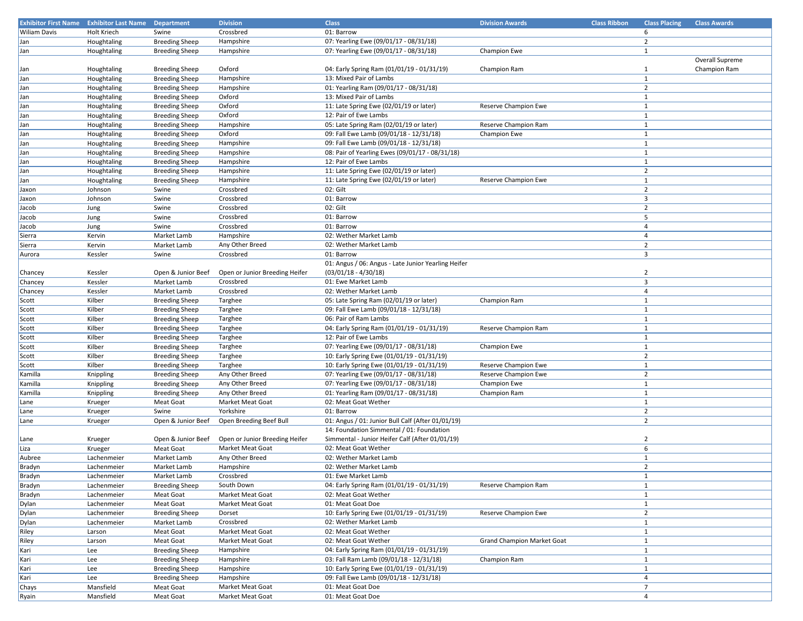| <b>Exhibitor First Name</b> | <b>Exhibitor Last Name Department</b> |                       | <b>Division</b>                | <b>Class</b>                                        | <b>Division Awards</b>            | <b>Class Ribbon</b> | <b>Class Placing</b>    | <b>Class Awards</b> |
|-----------------------------|---------------------------------------|-----------------------|--------------------------------|-----------------------------------------------------|-----------------------------------|---------------------|-------------------------|---------------------|
| Wiliam Davis                | Holt Kriech                           | Swine                 | Crossbred                      | 01: Barrow                                          |                                   |                     | 6                       |                     |
| Jan                         | Houghtaling                           | <b>Breeding Sheep</b> | Hampshire                      | 07: Yearling Ewe (09/01/17 - 08/31/18)              |                                   |                     | $\overline{2}$          |                     |
| Jan                         | Houghtaling                           | <b>Breeding Sheep</b> | Hampshire                      | 07: Yearling Ewe (09/01/17 - 08/31/18)              | Champion Ewe                      |                     | 1                       |                     |
|                             |                                       |                       |                                |                                                     |                                   |                     |                         | Overall Supreme     |
| Jan                         | Houghtaling                           | <b>Breeding Sheep</b> | Oxford                         | 04: Early Spring Ram (01/01/19 - 01/31/19)          | Champion Ram                      |                     | $\mathbf{1}$            | Champion Ram        |
| Jan                         | Houghtaling                           | <b>Breeding Sheep</b> | Hampshire                      | 13: Mixed Pair of Lambs                             |                                   |                     | $\mathbf{1}$            |                     |
| Jan                         | Houghtaling                           | <b>Breeding Sheep</b> | Hampshire                      | 01: Yearling Ram (09/01/17 - 08/31/18)              |                                   |                     | $\overline{2}$          |                     |
| Jan                         | Houghtaling                           | <b>Breeding Sheep</b> | Oxford                         | 13: Mixed Pair of Lambs                             |                                   |                     | $\mathbf{1}$            |                     |
| Jan                         | Houghtaling                           | <b>Breeding Sheep</b> | Oxford                         | 11: Late Spring Ewe (02/01/19 or later)             | Reserve Champion Ewe              |                     | $\mathbf{1}$            |                     |
| Jan                         | Houghtaling                           | <b>Breeding Sheep</b> | Oxford                         | 12: Pair of Ewe Lambs                               |                                   |                     | $\mathbf{1}$            |                     |
| Jan                         | Houghtaling                           | <b>Breeding Sheep</b> | Hampshire                      | 05: Late Spring Ram (02/01/19 or later)             | Reserve Champion Ram              |                     | $\mathbf{1}$            |                     |
| Jan                         | Houghtaling                           | <b>Breeding Sheep</b> | Oxford                         | 09: Fall Ewe Lamb (09/01/18 - 12/31/18)             | Champion Ewe                      |                     | $\mathbf{1}$            |                     |
| Jan                         | Houghtaling                           | <b>Breeding Sheep</b> | Hampshire                      | 09: Fall Ewe Lamb (09/01/18 - 12/31/18)             |                                   |                     | $\mathbf{1}$            |                     |
| Jan                         | Houghtaling                           | <b>Breeding Sheep</b> | Hampshire                      | 08: Pair of Yearling Ewes (09/01/17 - 08/31/18)     |                                   |                     | $\mathbf{1}$            |                     |
| Jan                         | Houghtaling                           | <b>Breeding Sheep</b> | Hampshire                      | 12: Pair of Ewe Lambs                               |                                   |                     | $\mathbf{1}$            |                     |
| Jan                         | Houghtaling                           | <b>Breeding Sheep</b> | Hampshire                      | 11: Late Spring Ewe (02/01/19 or later)             |                                   |                     | $\overline{2}$          |                     |
| Jan                         | Houghtaling                           | <b>Breeding Sheep</b> | Hampshire                      | 11: Late Spring Ewe (02/01/19 or later)             | Reserve Champion Ewe              |                     | 1                       |                     |
| Jaxon                       | Johnson                               | Swine                 | Crossbred                      | 02: Gilt                                            |                                   |                     | $\overline{2}$          |                     |
| Jaxon                       | Johnson                               | Swine                 | Crossbred                      | 01: Barrow                                          |                                   |                     | $\overline{\mathbf{3}}$ |                     |
| Jacob                       | Jung                                  | Swine                 | Crossbred                      | 02: Gilt                                            |                                   |                     | $\overline{2}$          |                     |
| Jacob                       | Jung                                  | Swine                 | Crossbred                      | 01: Barrow                                          |                                   |                     | 5                       |                     |
| Jacob                       | Jung                                  | Swine                 | Crossbred                      | 01: Barrow                                          |                                   |                     | $\overline{4}$          |                     |
| Sierra                      | Kervin                                | Market Lamb           | Hampshire                      | 02: Wether Market Lamb                              |                                   |                     | $\overline{4}$          |                     |
| Sierra                      | Kervin                                | Market Lamb           | Any Other Breed                | 02: Wether Market Lamb                              |                                   |                     | $\overline{2}$          |                     |
| Aurora                      | Kessler                               | Swine                 | Crossbred                      | 01: Barrow                                          |                                   |                     | $\overline{3}$          |                     |
|                             |                                       |                       |                                | 01: Angus / 06: Angus - Late Junior Yearling Heifer |                                   |                     |                         |                     |
| Chancey                     | Kessler                               | Open & Junior Beef    | Open or Junior Breeding Heifer | $(03/01/18 - 4/30/18)$                              |                                   |                     | $\overline{2}$          |                     |
| Chancey                     | Kessler                               | Market Lamb           | Crossbred                      | 01: Ewe Market Lamb                                 |                                   |                     | $\overline{\mathbf{3}}$ |                     |
| Chancey                     | Kessler                               | Market Lamb           | Crossbred                      | 02: Wether Market Lamb                              |                                   |                     | $\overline{4}$          |                     |
| Scott                       | Kilber                                | <b>Breeding Sheep</b> | Targhee                        | 05: Late Spring Ram (02/01/19 or later)             | Champion Ram                      |                     | 1                       |                     |
| Scott                       | Kilber                                | <b>Breeding Sheep</b> | Targhee                        | 09: Fall Ewe Lamb (09/01/18 - 12/31/18)             |                                   |                     | $\mathbf{1}$            |                     |
| Scott                       | Kilber                                | <b>Breeding Sheep</b> | Targhee                        | 06: Pair of Ram Lambs                               |                                   |                     | $\mathbf{1}$            |                     |
| Scott                       | Kilber                                | <b>Breeding Sheep</b> | Targhee                        | 04: Early Spring Ram (01/01/19 - 01/31/19)          | Reserve Champion Ram              |                     | $\mathbf{1}$            |                     |
| Scott                       | Kilber                                | <b>Breeding Sheep</b> | Targhee                        | 12: Pair of Ewe Lambs                               |                                   |                     | $\mathbf{1}$            |                     |
| Scott                       | Kilber                                | <b>Breeding Sheep</b> | Targhee                        | 07: Yearling Ewe (09/01/17 - 08/31/18)              | Champion Ewe                      |                     | $\mathbf{1}$            |                     |
| Scott                       | Kilber                                | <b>Breeding Sheep</b> | Targhee                        | 10: Early Spring Ewe (01/01/19 - 01/31/19)          |                                   |                     | $\overline{2}$          |                     |
| Scott                       | Kilber                                | <b>Breeding Sheep</b> | Targhee                        | 10: Early Spring Ewe (01/01/19 - 01/31/19)          | Reserve Champion Ewe              |                     | $\mathbf{1}$            |                     |
| Kamilla                     | Knippling                             | <b>Breeding Sheep</b> | Any Other Breed                | 07: Yearling Ewe (09/01/17 - 08/31/18)              | Reserve Champion Ewe              |                     | $\overline{2}$          |                     |
| Kamilla                     | Knippling                             | <b>Breeding Sheep</b> | Any Other Breed                | 07: Yearling Ewe (09/01/17 - 08/31/18)              | Champion Ewe                      |                     | $\mathbf{1}$            |                     |
| Kamilla                     | Knippling                             | <b>Breeding Sheep</b> | Any Other Breed                | 01: Yearling Ram (09/01/17 - 08/31/18)              | Champion Ram                      |                     | $\mathbf{1}$            |                     |
| Lane                        | Krueger                               | Meat Goat             | Market Meat Goat               | 02: Meat Goat Wether                                |                                   |                     | $\mathbf{1}$            |                     |
| Lane                        | Krueger                               | Swine                 | Yorkshire                      | 01: Barrow                                          |                                   |                     | $\overline{2}$          |                     |
| Lane                        | Krueger                               | Open & Junior Beef    | Open Breeding Beef Bull        | 01: Angus / 01: Junior Bull Calf (After 01/01/19)   |                                   |                     | $\overline{2}$          |                     |
|                             |                                       |                       |                                | 14: Foundation Simmental / 01: Foundation           |                                   |                     |                         |                     |
| Lane                        | Krueger                               | Open & Junior Beef    | Open or Junior Breeding Heifer | Simmental - Junior Heifer Calf (After 01/01/19)     |                                   |                     | $\overline{2}$          |                     |
| Liza                        | Krueger                               | Meat Goat             | <b>Market Meat Goat</b>        | 02: Meat Goat Wether                                |                                   |                     | 6                       |                     |
| Aubree                      | Lachenmeier                           | Market Lamb           | Any Other Breed                | 02: Wether Market Lamb                              |                                   |                     | $\mathbf{1}$            |                     |
| Bradyn                      | Lachenmeier                           | Market Lamb           | Hampshire                      | 02: Wether Market Lamb                              |                                   |                     | $\overline{2}$          |                     |
| Bradyn                      | Lachenmeier                           | Market Lamb           | Crossbred                      | 01: Ewe Market Lamb                                 |                                   |                     | $\mathbf{1}$            |                     |
| Bradyn                      | Lachenmeier                           | <b>Breeding Sheep</b> | South Down                     | 04: Early Spring Ram (01/01/19 - 01/31/19)          | Reserve Champion Ram              |                     | $\mathbf{1}$            |                     |
| Bradyn                      | Lachenmeier                           | Meat Goat             | Market Meat Goat               | 02: Meat Goat Wether                                |                                   |                     | $\mathbf{1}$            |                     |
| Dylan                       | Lachenmeier                           | Meat Goat             | Market Meat Goat               | 01: Meat Goat Doe                                   |                                   |                     | $\mathbf{1}$            |                     |
| Dylan                       | Lachenmeier                           | <b>Breeding Sheep</b> | Dorset                         | 10: Early Spring Ewe (01/01/19 - 01/31/19)          | Reserve Champion Ewe              |                     | $\overline{2}$          |                     |
| Dylan                       | Lachenmeier                           | Market Lamb           | Crossbred                      | 02: Wether Market Lamb                              |                                   |                     | 1                       |                     |
| Riley                       | Larson                                | Meat Goat             | Market Meat Goat               | 02: Meat Goat Wether                                |                                   |                     | $\mathbf{1}$            |                     |
| Riley                       | Larson                                | Meat Goat             | Market Meat Goat               | 02: Meat Goat Wether                                | <b>Grand Champion Market Goat</b> |                     | $\mathbf{1}$            |                     |
| Kari                        | Lee                                   | <b>Breeding Sheep</b> | Hampshire                      | 04: Early Spring Ram (01/01/19 - 01/31/19)          |                                   |                     | $\mathbf{1}$            |                     |
| Kari                        | Lee                                   | <b>Breeding Sheep</b> | Hampshire                      | 03: Fall Ram Lamb (09/01/18 - 12/31/18)             | Champion Ram                      |                     | $\mathbf{1}$            |                     |
| Kari                        | Lee                                   | <b>Breeding Sheep</b> | Hampshire                      | 10: Early Spring Ewe (01/01/19 - 01/31/19)          |                                   |                     | $\mathbf{1}$            |                     |
| Kari                        | Lee                                   | <b>Breeding Sheep</b> | Hampshire                      | 09: Fall Ewe Lamb (09/01/18 - 12/31/18)             |                                   |                     | 4                       |                     |
| Chays                       | Mansfield                             | Meat Goat             | Market Meat Goat               | 01: Meat Goat Doe                                   |                                   |                     | $\overline{7}$          |                     |
| Ryain                       | Mansfield                             | Meat Goat             | Market Meat Goat               | 01: Meat Goat Doe                                   |                                   |                     | $\overline{4}$          |                     |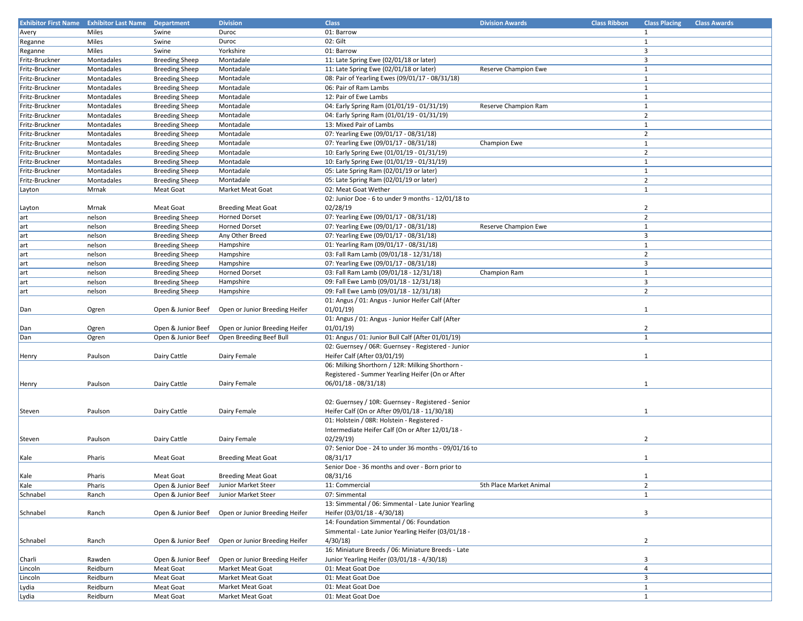| <b>Exhibitor First Name</b> | <b>Exhibitor Last Name</b> | Department            | <b>Division</b>                | <b>Class</b>                                         | <b>Division Awards</b>  | <b>Class Ribbon</b> | <b>Class Placing</b>    | <b>Class Awards</b> |
|-----------------------------|----------------------------|-----------------------|--------------------------------|------------------------------------------------------|-------------------------|---------------------|-------------------------|---------------------|
| Avery                       | Miles                      | Swine                 | Duroc                          | 01: Barrow                                           |                         |                     | 1                       |                     |
| Reganne                     | Miles                      | Swine                 | Duroc                          | 02: Gilt                                             |                         |                     | 1                       |                     |
| Reganne                     | Miles                      | Swine                 | Yorkshire                      | 01: Barrow                                           |                         |                     | $\overline{3}$          |                     |
| Fritz-Bruckner              | Montadales                 | <b>Breeding Sheep</b> | Montadale                      | 11: Late Spring Ewe (02/01/18 or later)              |                         |                     | 3                       |                     |
| Fritz-Bruckner              | Montadales                 | <b>Breeding Sheep</b> | Montadale                      | 11: Late Spring Ewe (02/01/18 or later)              | Reserve Champion Ewe    |                     | $\mathbf{1}$            |                     |
| Fritz-Bruckner              | Montadales                 |                       | Montadale                      | 08: Pair of Yearling Ewes (09/01/17 - 08/31/18)      |                         |                     | $\mathbf{1}$            |                     |
|                             |                            | <b>Breeding Sheep</b> |                                |                                                      |                         |                     |                         |                     |
| Fritz-Bruckner              | Montadales                 | <b>Breeding Sheep</b> | Montadale                      | 06: Pair of Ram Lambs                                |                         |                     | 1                       |                     |
| Fritz-Bruckner              | Montadales                 | <b>Breeding Sheep</b> | Montadale                      | 12: Pair of Ewe Lambs                                |                         |                     | $\mathbf{1}$            |                     |
| Fritz-Bruckner              | Montadales                 | <b>Breeding Sheep</b> | Montadale                      | 04: Early Spring Ram (01/01/19 - 01/31/19)           | Reserve Champion Ram    |                     | $\mathbf{1}$            |                     |
| Fritz-Bruckner              | Montadales                 | <b>Breeding Sheep</b> | Montadale                      | 04: Early Spring Ram (01/01/19 - 01/31/19)           |                         |                     | $\overline{2}$          |                     |
| Fritz-Bruckner              | Montadales                 | <b>Breeding Sheep</b> | Montadale                      | 13: Mixed Pair of Lambs                              |                         |                     | $\mathbf{1}$            |                     |
| Fritz-Bruckner              | Montadales                 | <b>Breeding Sheep</b> | Montadale                      | 07: Yearling Ewe (09/01/17 - 08/31/18)               |                         |                     | $\overline{2}$          |                     |
| Fritz-Bruckner              | Montadales                 | <b>Breeding Sheep</b> | Montadale                      | 07: Yearling Ewe (09/01/17 - 08/31/18)               | Champion Ewe            |                     | $\mathbf{1}$            |                     |
| Fritz-Bruckner              | Montadales                 | <b>Breeding Sheep</b> | Montadale                      | 10: Early Spring Ewe (01/01/19 - 01/31/19)           |                         |                     | $\overline{2}$          |                     |
| Fritz-Bruckner              | Montadales                 | <b>Breeding Sheep</b> | Montadale                      | 10: Early Spring Ewe (01/01/19 - 01/31/19)           |                         |                     | $\mathbf{1}$            |                     |
| Fritz-Bruckner              | Montadales                 | <b>Breeding Sheep</b> | Montadale                      | 05: Late Spring Ram (02/01/19 or later)              |                         |                     | $\mathbf{1}$            |                     |
| Fritz-Bruckner              | Montadales                 | <b>Breeding Sheep</b> | Montadale                      | 05: Late Spring Ram (02/01/19 or later)              |                         |                     | $\overline{2}$          |                     |
| Layton                      | Mrnak                      | Meat Goat             | Market Meat Goat               | 02: Meat Goat Wether                                 |                         |                     | $\mathbf{1}$            |                     |
|                             |                            |                       |                                | 02: Junior Doe - 6 to under 9 months - 12/01/18 to   |                         |                     |                         |                     |
|                             |                            |                       |                                |                                                      |                         |                     |                         |                     |
| Layton                      | Mrnak                      | Meat Goat             | <b>Breeding Meat Goat</b>      | 02/28/19                                             |                         |                     | $\overline{2}$          |                     |
| art                         | nelson                     | <b>Breeding Sheep</b> | <b>Horned Dorset</b>           | 07: Yearling Ewe (09/01/17 - 08/31/18)               |                         |                     | $\overline{2}$          |                     |
| art                         | nelson                     | <b>Breeding Sheep</b> | <b>Horned Dorset</b>           | 07: Yearling Ewe (09/01/17 - 08/31/18)               | Reserve Champion Ewe    |                     | $\mathbf{1}$            |                     |
| art                         | nelson                     | <b>Breeding Sheep</b> | Any Other Breed                | 07: Yearling Ewe (09/01/17 - 08/31/18)               |                         |                     | $\overline{3}$          |                     |
| art                         | nelson                     | <b>Breeding Sheep</b> | Hampshire                      | 01: Yearling Ram (09/01/17 - 08/31/18)               |                         |                     | $\mathbf{1}$            |                     |
| art                         | nelson                     | <b>Breeding Sheep</b> | Hampshire                      | 03: Fall Ram Lamb (09/01/18 - 12/31/18)              |                         |                     | $\overline{2}$          |                     |
| art                         | nelson                     | <b>Breeding Sheep</b> | Hampshire                      | 07: Yearling Ewe (09/01/17 - 08/31/18)               |                         |                     | $\overline{3}$          |                     |
| art                         | nelson                     | <b>Breeding Sheep</b> | <b>Horned Dorset</b>           | 03: Fall Ram Lamb (09/01/18 - 12/31/18)              | Champion Ram            |                     | $\mathbf{1}$            |                     |
| art                         | nelson                     | <b>Breeding Sheep</b> | Hampshire                      | 09: Fall Ewe Lamb (09/01/18 - 12/31/18)              |                         |                     | $\overline{3}$          |                     |
| art                         | nelson                     | <b>Breeding Sheep</b> | Hampshire                      | 09: Fall Ewe Lamb (09/01/18 - 12/31/18)              |                         |                     | $\overline{2}$          |                     |
|                             |                            |                       |                                | 01: Angus / 01: Angus - Junior Heifer Calf (After    |                         |                     |                         |                     |
|                             |                            | Open & Junior Beef    | Open or Junior Breeding Heifer | 01/01/19                                             |                         |                     |                         |                     |
| Dan                         | Ogren                      |                       |                                |                                                      |                         |                     | 1                       |                     |
|                             |                            |                       |                                | 01: Angus / 01: Angus - Junior Heifer Calf (After    |                         |                     |                         |                     |
| Dan                         | Ogren                      | Open & Junior Beef    | Open or Junior Breeding Heifer | 01/01/19                                             |                         |                     | $\overline{2}$          |                     |
| Dan                         | Ogren                      | Open & Junior Beef    | Open Breeding Beef Bull        | 01: Angus / 01: Junior Bull Calf (After 01/01/19)    |                         |                     | $\mathbf{1}$            |                     |
|                             |                            |                       |                                | 02: Guernsey / 06R: Guernsey - Registered - Junior   |                         |                     |                         |                     |
| Henry                       | Paulson                    | Dairy Cattle          | Dairy Female                   | Heifer Calf (After 03/01/19)                         |                         |                     | $\mathbf{1}$            |                     |
|                             |                            |                       |                                | 06: Milking Shorthorn / 12R: Milking Shorthorn -     |                         |                     |                         |                     |
|                             |                            |                       |                                | Registered - Summer Yearling Heifer (On or After     |                         |                     |                         |                     |
| Henry                       | Paulson                    | Dairy Cattle          | Dairy Female                   | 06/01/18 - 08/31/18)                                 |                         |                     | $\mathbf{1}$            |                     |
|                             |                            |                       |                                |                                                      |                         |                     |                         |                     |
|                             |                            |                       |                                | 02: Guernsey / 10R: Guernsey - Registered - Senior   |                         |                     |                         |                     |
| Steven                      | Paulson                    | Dairy Cattle          | Dairy Female                   | Heifer Calf (On or After 09/01/18 - 11/30/18)        |                         |                     | 1                       |                     |
|                             |                            |                       |                                | 01: Holstein / 08R: Holstein - Registered -          |                         |                     |                         |                     |
|                             |                            |                       |                                |                                                      |                         |                     |                         |                     |
|                             |                            |                       |                                | Intermediate Heifer Calf (On or After 12/01/18 -     |                         |                     |                         |                     |
| Steven                      | Paulson                    | Dairy Cattle          | Dairy Female                   | 02/29/19                                             |                         |                     | 2                       |                     |
|                             |                            |                       |                                | 07: Senior Doe - 24 to under 36 months - 09/01/16 to |                         |                     |                         |                     |
| Kale                        | Pharis                     | Meat Goat             | <b>Breeding Meat Goat</b>      | 08/31/17                                             |                         |                     | $\mathbf{1}$            |                     |
|                             |                            |                       |                                | Senior Doe - 36 months and over - Born prior to      |                         |                     |                         |                     |
| Kale                        | Pharis                     | Meat Goat             | <b>Breeding Meat Goat</b>      | 08/31/16                                             |                         |                     | -1                      |                     |
| Kale                        | Pharis                     | Open & Junior Beef    | Junior Market Steer            | 11: Commercial                                       | 5th Place Market Animal |                     | $\overline{2}$          |                     |
| Schnabel                    | Ranch                      | Open & Junior Beef    | Junior Market Steer            | 07: Simmental                                        |                         |                     | 1                       |                     |
|                             |                            |                       |                                | 13: Simmental / 06: Simmental - Late Junior Yearling |                         |                     |                         |                     |
| Schnabel                    | Ranch                      | Open & Junior Beef    | Open or Junior Breeding Heifer | Heifer (03/01/18 - 4/30/18)                          |                         |                     | $\overline{3}$          |                     |
|                             |                            |                       |                                | 14: Foundation Simmental / 06: Foundation            |                         |                     |                         |                     |
|                             |                            |                       |                                | Simmental - Late Junior Yearling Heifer (03/01/18 -  |                         |                     |                         |                     |
|                             |                            |                       | Open or Junior Breeding Heifer | 4/30/18                                              |                         |                     |                         |                     |
| Schnabel                    | Ranch                      | Open & Junior Beef    |                                |                                                      |                         |                     | $\overline{2}$          |                     |
|                             |                            |                       |                                | 16: Miniature Breeds / 06: Miniature Breeds - Late   |                         |                     |                         |                     |
| Charli                      | Rawden                     | Open & Junior Beef    | Open or Junior Breeding Heifer | Junior Yearling Heifer (03/01/18 - 4/30/18)          |                         |                     | $\overline{\mathbf{3}}$ |                     |
| Lincoln                     | Reidburn                   | Meat Goat             | Market Meat Goat               | 01: Meat Goat Doe                                    |                         |                     | $\overline{a}$          |                     |
| Lincoln                     | Reidburn                   | Meat Goat             | Market Meat Goat               | 01: Meat Goat Doe                                    |                         |                     | $\overline{\mathbf{3}}$ |                     |
| Lydia                       | Reidburn                   | Meat Goat             | Market Meat Goat               | 01: Meat Goat Doe                                    |                         |                     | $\mathbf{1}$            |                     |
| Lydia                       | Reidburn                   | Meat Goat             | Market Meat Goat               | 01: Meat Goat Doe                                    |                         |                     | 1                       |                     |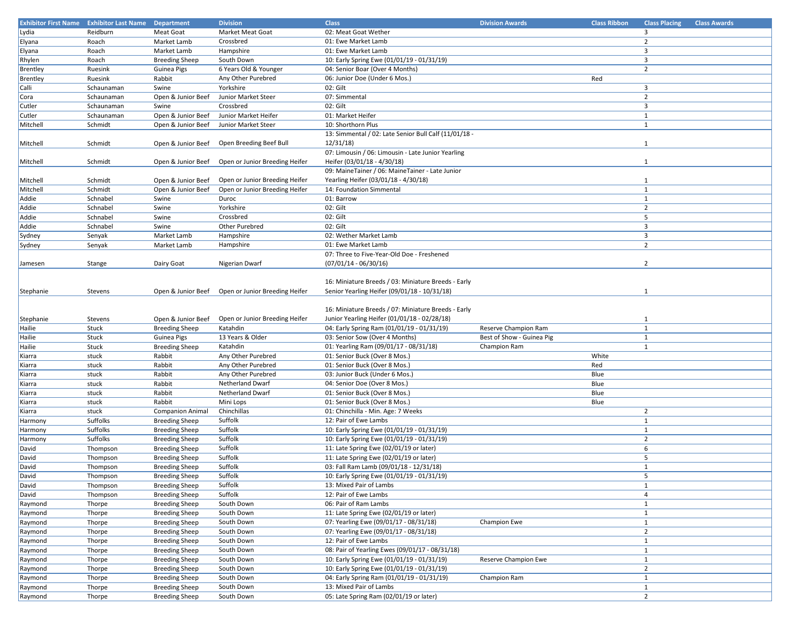| <b>Exhibitor First Name</b> | <b>Exhibitor Last Name</b> | Department              | <b>Division</b>                | <b>Class</b>                                          | <b>Division Awards</b>    | <b>Class Ribbon</b> | <b>Class Placing</b>    | <b>Class Awards</b> |
|-----------------------------|----------------------------|-------------------------|--------------------------------|-------------------------------------------------------|---------------------------|---------------------|-------------------------|---------------------|
| Lydia                       | Reidburn                   | Meat Goat               | Market Meat Goat               | 02: Meat Goat Wether                                  |                           |                     | 3                       |                     |
| Elyana                      | Roach                      | Market Lamb             | Crossbred                      | 01: Ewe Market Lamb                                   |                           |                     | $\overline{2}$          |                     |
| Elyana                      | Roach                      | Market Lamb             | Hampshire                      | 01: Ewe Market Lamb                                   |                           |                     | 3                       |                     |
| Rhylen                      | Roach                      | <b>Breeding Sheep</b>   | South Down                     | 10: Early Spring Ewe (01/01/19 - 01/31/19)            |                           |                     | 3                       |                     |
| Brentley                    | Ruesink                    | Guinea Pigs             | 6 Years Old & Younger          | 04: Senior Boar (Over 4 Months)                       |                           |                     | $\overline{2}$          |                     |
|                             | Ruesink                    | Rabbit                  | Any Other Purebred             | 06: Junior Doe (Under 6 Mos.)                         |                           | Red                 |                         |                     |
| Brentley                    |                            |                         |                                |                                                       |                           |                     |                         |                     |
| Calli                       | Schaunaman                 | Swine                   | Yorkshire                      | 02: Gilt                                              |                           |                     | $\overline{\mathbf{3}}$ |                     |
| Cora                        | Schaunaman                 | Open & Junior Beef      | Junior Market Steer            | 07: Simmental                                         |                           |                     | $\overline{2}$          |                     |
| Cutler                      | Schaunaman                 | Swine                   | Crossbred                      | 02: Gilt                                              |                           |                     | 3                       |                     |
| Cutler                      | Schaunaman                 | Open & Junior Beef      | Junior Market Heifer           | 01: Market Heifer                                     |                           |                     | $\mathbf{1}$            |                     |
| Mitchell                    | Schmidt                    | Open & Junior Beef      | Junior Market Steer            | 10: Shorthorn Plus                                    |                           |                     | $\mathbf{1}$            |                     |
|                             |                            |                         |                                | 13: Simmental / 02: Late Senior Bull Calf (11/01/18 - |                           |                     |                         |                     |
| Mitchell                    | Schmidt                    | Open & Junior Beef      | Open Breeding Beef Bull        | 12/31/18                                              |                           |                     | $\mathbf{1}$            |                     |
|                             |                            |                         |                                | 07: Limousin / 06: Limousin - Late Junior Yearling    |                           |                     |                         |                     |
| Mitchell                    | Schmidt                    | Open & Junior Beef      | Open or Junior Breeding Heifer | Heifer (03/01/18 - 4/30/18)                           |                           |                     | $\mathbf{1}$            |                     |
|                             |                            |                         |                                | 09: MaineTainer / 06: MaineTainer - Late Junior       |                           |                     |                         |                     |
| Mitchell                    | Schmidt                    | Open & Junior Beef      | Open or Junior Breeding Heifer | Yearling Heifer (03/01/18 - 4/30/18)                  |                           |                     | $\mathbf{1}$            |                     |
|                             | Schmidt                    | Open & Junior Beef      | Open or Junior Breeding Heifer | 14: Foundation Simmental                              |                           |                     | $\mathbf{1}$            |                     |
| Mitchell                    |                            |                         |                                |                                                       |                           |                     |                         |                     |
| Addie                       | Schnabel                   | Swine                   | Duroc                          | 01: Barrow                                            |                           |                     | 1                       |                     |
| Addie                       | Schnabel                   | Swine                   | Yorkshire                      | 02: Gilt                                              |                           |                     | $\overline{2}$          |                     |
| Addie                       | Schnabel                   | Swine                   | Crossbred                      | 02: Gilt                                              |                           |                     | 5                       |                     |
| Addie                       | Schnabel                   | Swine                   | Other Purebred                 | 02: Gilt                                              |                           |                     | $\overline{3}$          |                     |
| Sydney                      | Senyak                     | Market Lamb             | Hampshire                      | 02: Wether Market Lamb                                |                           |                     | 3                       |                     |
| Sydney                      | Senyak                     | Market Lamb             | Hampshire                      | 01: Ewe Market Lamb                                   |                           |                     | $\overline{2}$          |                     |
|                             |                            |                         |                                | 07: Three to Five-Year-Old Doe - Freshened            |                           |                     |                         |                     |
| Jamesen                     | Stange                     | Dairy Goat              | Nigerian Dwarf                 | $(07/01/14 - 06/30/16)$                               |                           |                     | $\overline{2}$          |                     |
|                             |                            |                         |                                |                                                       |                           |                     |                         |                     |
|                             |                            |                         |                                | 16: Miniature Breeds / 03: Miniature Breeds - Early   |                           |                     |                         |                     |
| Stephanie                   | Stevens                    | Open & Junior Beef      | Open or Junior Breeding Heifer | Senior Yearling Heifer (09/01/18 - 10/31/18)          |                           |                     | $\mathbf{1}$            |                     |
|                             |                            |                         |                                |                                                       |                           |                     |                         |                     |
|                             |                            |                         |                                |                                                       |                           |                     |                         |                     |
|                             |                            |                         |                                | 16: Miniature Breeds / 07: Miniature Breeds - Early   |                           |                     |                         |                     |
| Stephanie                   | Stevens                    | Open & Junior Beef      | Open or Junior Breeding Heifer | Junior Yearling Heifer (01/01/18 - 02/28/18)          |                           |                     | $\mathbf{1}$            |                     |
| Hailie                      | Stuck                      | <b>Breeding Sheep</b>   | Katahdin                       | 04: Early Spring Ram (01/01/19 - 01/31/19)            | Reserve Champion Ram      |                     | $\mathbf{1}$            |                     |
| Hailie                      | Stuck                      | Guinea Pigs             | 13 Years & Older               | 03: Senior Sow (Over 4 Months)                        | Best of Show - Guinea Pig |                     | $\mathbf{1}$            |                     |
| Hailie                      | Stuck                      | <b>Breeding Sheep</b>   | Katahdin                       | 01: Yearling Ram (09/01/17 - 08/31/18)                | Champion Ram              |                     | $\mathbf{1}$            |                     |
| Kiarra                      | stuck                      | Rabbit                  | Any Other Purebred             | 01: Senior Buck (Over 8 Mos.)                         |                           | White               |                         |                     |
| Kiarra                      | stuck                      | Rabbit                  | Any Other Purebred             | 01: Senior Buck (Over 8 Mos.)                         |                           | Red                 |                         |                     |
| Kiarra                      | stuck                      | Rabbit                  | Any Other Purebred             | 03: Junior Buck (Under 6 Mos.)                        |                           | Blue                |                         |                     |
| Kiarra                      | stuck                      | Rabbit                  | Netherland Dwarf               | 04: Senior Doe (Over 8 Mos.)                          |                           | Blue                |                         |                     |
| Kiarra                      | stuck                      | Rabbit                  | Netherland Dwarf               | 01: Senior Buck (Over 8 Mos.)                         |                           | Blue                |                         |                     |
| Kiarra                      | stuck                      | Rabbit                  | Mini Lops                      | 01: Senior Buck (Over 8 Mos.)                         |                           | Blue                |                         |                     |
|                             |                            |                         |                                |                                                       |                           |                     | $\overline{2}$          |                     |
| Kiarra                      | stuck                      | <b>Companion Animal</b> | Chinchillas                    | 01: Chinchilla - Min. Age: 7 Weeks                    |                           |                     |                         |                     |
| Harmony                     | Suffolks                   | <b>Breeding Sheep</b>   | Suffolk                        | 12: Pair of Ewe Lambs                                 |                           |                     | $\mathbf{1}$            |                     |
| Harmony                     | Suffolks                   | <b>Breeding Sheep</b>   | Suffolk                        | 10: Early Spring Ewe (01/01/19 - 01/31/19)            |                           |                     | $\mathbf{1}$            |                     |
| Harmony                     | Suffolks                   | <b>Breeding Sheep</b>   | Suffolk                        | 10: Early Spring Ewe (01/01/19 - 01/31/19)            |                           |                     | $\overline{2}$          |                     |
| David                       | Thompson                   | <b>Breeding Sheep</b>   | Suffolk                        | 11: Late Spring Ewe (02/01/19 or later)               |                           |                     | 6                       |                     |
| David                       | Thompson                   | <b>Breeding Sheep</b>   | Suffolk                        | 11: Late Spring Ewe (02/01/19 or later)               |                           |                     | 5                       |                     |
| David                       | Thompson                   | <b>Breeding Sheep</b>   | Suffolk                        | 03: Fall Ram Lamb (09/01/18 - 12/31/18)               |                           |                     | $\mathbf{1}$            |                     |
| David                       | Thompson                   | <b>Breeding Sheep</b>   | Suffolk                        | 10: Early Spring Ewe (01/01/19 - 01/31/19)            |                           |                     | 5                       |                     |
| David                       | Thompson                   | <b>Breeding Sheep</b>   | Suffolk                        | 13: Mixed Pair of Lambs                               |                           |                     | $\mathbf{1}$            |                     |
| David                       | Thompson                   | <b>Breeding Sheep</b>   | Suffolk                        | 12: Pair of Ewe Lambs                                 |                           |                     | $\overline{4}$          |                     |
| Raymond                     | Thorpe                     | <b>Breeding Sheep</b>   | South Down                     | 06: Pair of Ram Lambs                                 |                           |                     | $\mathbf{1}$            |                     |
| Raymond                     | Thorpe                     | <b>Breeding Sheep</b>   | South Down                     | 11: Late Spring Ewe (02/01/19 or later)               |                           |                     | 1                       |                     |
| Raymond                     | Thorpe                     |                         | South Down                     | 07: Yearling Ewe (09/01/17 - 08/31/18)                | Champion Ewe              |                     | 1                       |                     |
|                             |                            | <b>Breeding Sheep</b>   |                                |                                                       |                           |                     |                         |                     |
| Raymond                     | Thorpe                     | <b>Breeding Sheep</b>   | South Down                     | 07: Yearling Ewe (09/01/17 - 08/31/18)                |                           |                     | $\overline{2}$          |                     |
| Raymond                     | Thorpe                     | <b>Breeding Sheep</b>   | South Down                     | 12: Pair of Ewe Lambs                                 |                           |                     | $\mathbf{1}$            |                     |
| Raymond                     | Thorpe                     | <b>Breeding Sheep</b>   | South Down                     | 08: Pair of Yearling Ewes (09/01/17 - 08/31/18)       |                           |                     | $\mathbf{1}$            |                     |
| Raymond                     | Thorpe                     | <b>Breeding Sheep</b>   | South Down                     | 10: Early Spring Ewe (01/01/19 - 01/31/19)            | Reserve Champion Ewe      |                     | $\mathbf{1}$            |                     |
| Raymond                     | Thorpe                     | <b>Breeding Sheep</b>   | South Down                     | 10: Early Spring Ewe (01/01/19 - 01/31/19)            |                           |                     | $\overline{2}$          |                     |
| Raymond                     | Thorpe                     | <b>Breeding Sheep</b>   | South Down                     | 04: Early Spring Ram (01/01/19 - 01/31/19)            | Champion Ram              |                     | $\mathbf{1}$            |                     |
| Raymond                     | Thorpe                     | <b>Breeding Sheep</b>   | South Down                     | 13: Mixed Pair of Lambs                               |                           |                     | $\mathbf{1}$            |                     |
| Raymond                     | Thorpe                     | <b>Breeding Sheep</b>   | South Down                     | 05: Late Spring Ram (02/01/19 or later)               |                           |                     | $\overline{2}$          |                     |
|                             |                            |                         |                                |                                                       |                           |                     |                         |                     |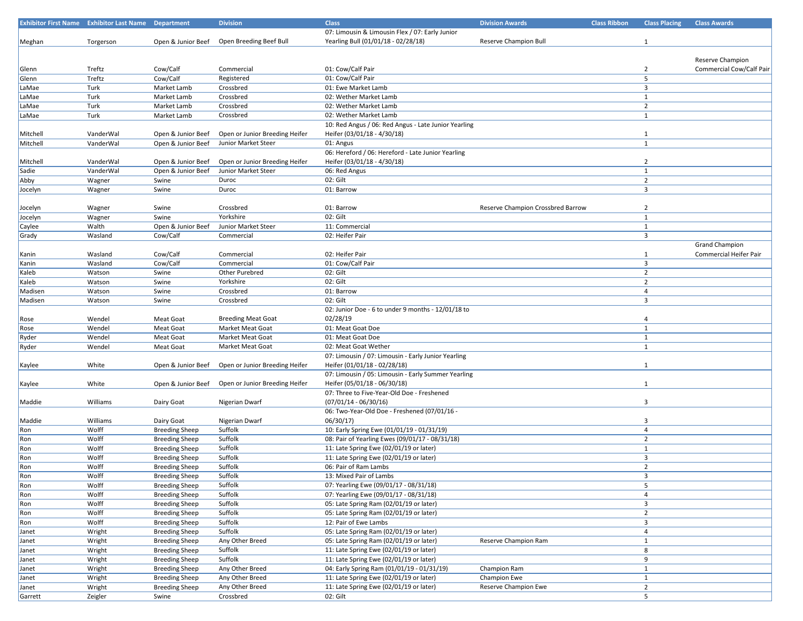|          | <b>Exhibitor First Name</b> Exhibitor Last Name Department |                       | <b>Division</b>                | <b>Class</b>                                         | <b>Division Awards</b>            | <b>Class Ribbon</b> | <b>Class Placing</b> | <b>Class Awards</b>      |
|----------|------------------------------------------------------------|-----------------------|--------------------------------|------------------------------------------------------|-----------------------------------|---------------------|----------------------|--------------------------|
|          |                                                            |                       |                                | 07: Limousin & Limousin Flex / 07: Early Junior      |                                   |                     |                      |                          |
| Meghan   | Torgerson                                                  | Open & Junior Beef    | Open Breeding Beef Bull        | Yearling Bull (01/01/18 - 02/28/18)                  | Reserve Champion Bull             |                     | $\mathbf{1}$         |                          |
|          |                                                            |                       |                                |                                                      |                                   |                     |                      |                          |
|          |                                                            |                       |                                |                                                      |                                   |                     |                      | Reserve Champion         |
| Glenn    | Treftz                                                     | Cow/Calf              | Commercial                     | 01: Cow/Calf Pair                                    |                                   |                     | $\overline{2}$       | Commercial Cow/Calf Pair |
| Glenn    | Treftz                                                     | Cow/Calf              | Registered                     | 01: Cow/Calf Pair                                    |                                   |                     | 5                    |                          |
| LaMae    | Turk                                                       | Market Lamb           | Crossbred                      | 01: Ewe Market Lamb                                  |                                   |                     | 3                    |                          |
| LaMae    | Turk                                                       | Market Lamb           | Crossbred                      | 02: Wether Market Lamb                               |                                   |                     | $\mathbf{1}$         |                          |
| LaMae    | Turk                                                       | Market Lamb           | Crossbred                      | 02: Wether Market Lamb                               |                                   |                     | $\overline{2}$       |                          |
| LaMae    | Turk                                                       |                       | Crossbred                      | 02: Wether Market Lamb                               |                                   |                     | $\mathbf{1}$         |                          |
|          |                                                            | Market Lamb           |                                |                                                      |                                   |                     |                      |                          |
|          |                                                            |                       |                                | 10: Red Angus / 06: Red Angus - Late Junior Yearling |                                   |                     |                      |                          |
| Mitchell | VanderWal                                                  | Open & Junior Beef    | Open or Junior Breeding Heifer | Heifer (03/01/18 - 4/30/18)                          |                                   |                     | $\mathbf{1}$         |                          |
| Mitchell | VanderWal                                                  | Open & Junior Beef    | Junior Market Steer            | 01: Angus                                            |                                   |                     | $\mathbf{1}$         |                          |
|          |                                                            |                       |                                | 06: Hereford / 06: Hereford - Late Junior Yearling   |                                   |                     |                      |                          |
| Mitchell | VanderWal                                                  | Open & Junior Beef    | Open or Junior Breeding Heifer | Heifer (03/01/18 - 4/30/18)                          |                                   |                     | $\overline{2}$       |                          |
| Sadie    | VanderWal                                                  | Open & Junior Beef    | Junior Market Steer            | 06: Red Angus                                        |                                   |                     | $\mathbf{1}$         |                          |
| Abby     | Wagner                                                     | Swine                 | Duroc                          | 02: Gilt                                             |                                   |                     | $\overline{2}$       |                          |
| Jocelyn  | Wagner                                                     | Swine                 | Duroc                          | 01: Barrow                                           |                                   |                     | 3                    |                          |
|          |                                                            |                       |                                |                                                      |                                   |                     |                      |                          |
| Jocelyn  | Wagner                                                     | Swine                 | Crossbred                      | 01: Barrow                                           | Reserve Champion Crossbred Barrow |                     | $\overline{2}$       |                          |
| Jocelyn  | Wagner                                                     | Swine                 | Yorkshire                      | 02: Gilt                                             |                                   |                     | $\mathbf{1}$         |                          |
| Caylee   | Walth                                                      | Open & Junior Beef    | Junior Market Steer            | 11: Commercial                                       |                                   |                     | $\mathbf{1}$         |                          |
| Grady    | Wasland                                                    | Cow/Calf              | Commercial                     | 02: Heifer Pair                                      |                                   |                     | 3                    |                          |
|          |                                                            |                       |                                |                                                      |                                   |                     |                      | <b>Grand Champion</b>    |
| Kanin    | Wasland                                                    | Cow/Calf              | Commercial                     | 02: Heifer Pair                                      |                                   |                     | $\mathbf{1}$         | Commercial Heifer Pair   |
| Kanin    | Wasland                                                    | Cow/Calf              | Commercial                     | 01: Cow/Calf Pair                                    |                                   |                     | 3                    |                          |
| Kaleb    | Watson                                                     | Swine                 | Other Purebred                 | 02: Gilt                                             |                                   |                     | $\overline{2}$       |                          |
|          |                                                            |                       |                                | 02: Gilt                                             |                                   |                     | $\overline{2}$       |                          |
| Kaleb    | Watson                                                     | Swine                 | Yorkshire                      |                                                      |                                   |                     |                      |                          |
| Madisen  | Watson                                                     | Swine                 | Crossbred                      | 01: Barrow                                           |                                   |                     | 4                    |                          |
| Madisen  | Watson                                                     | Swine                 | Crossbred                      | 02: Gilt                                             |                                   |                     | 3                    |                          |
|          |                                                            |                       |                                | 02: Junior Doe - 6 to under 9 months - 12/01/18 to   |                                   |                     |                      |                          |
| Rose     | Wendel                                                     | Meat Goat             | <b>Breeding Meat Goat</b>      | 02/28/19                                             |                                   |                     | 4                    |                          |
| Rose     | Wendel                                                     | Meat Goat             | Market Meat Goat               | 01: Meat Goat Doe                                    |                                   |                     | $\mathbf{1}$         |                          |
| Ryder    | Wendel                                                     | Meat Goat             | Market Meat Goat               | 01: Meat Goat Doe                                    |                                   |                     | $\mathbf{1}$         |                          |
| Ryder    | Wendel                                                     | Meat Goat             | Market Meat Goat               | 02: Meat Goat Wether                                 |                                   |                     | $\mathbf{1}$         |                          |
|          |                                                            |                       |                                | 07: Limousin / 07: Limousin - Early Junior Yearling  |                                   |                     |                      |                          |
| Kaylee   | White                                                      | Open & Junior Beef    | Open or Junior Breeding Heifer | Heifer (01/01/18 - 02/28/18)                         |                                   |                     | $\mathbf{1}$         |                          |
|          |                                                            |                       |                                | 07: Limousin / 05: Limousin - Early Summer Yearling  |                                   |                     |                      |                          |
| Kaylee   | White                                                      | Open & Junior Beef    | Open or Junior Breeding Heifer | Heifer (05/01/18 - 06/30/18)                         |                                   |                     | $\mathbf{1}$         |                          |
|          |                                                            |                       |                                | 07: Three to Five-Year-Old Doe - Freshened           |                                   |                     |                      |                          |
| Maddie   | Williams                                                   | Dairy Goat            | Nigerian Dwarf                 | $(07/01/14 - 06/30/16)$                              |                                   |                     | 3                    |                          |
|          |                                                            |                       |                                | 06: Two-Year-Old Doe - Freshened (07/01/16 -         |                                   |                     |                      |                          |
| Maddie   | Williams                                                   | Dairy Goat            | Nigerian Dwarf                 | 06/30/17                                             |                                   |                     | 3                    |                          |
| Ron      | Wolff                                                      | <b>Breeding Sheep</b> | Suffolk                        | 10: Early Spring Ewe (01/01/19 - 01/31/19)           |                                   |                     | $\overline{4}$       |                          |
| Ron      | Wolff                                                      | <b>Breeding Sheep</b> | Suffolk                        | 08: Pair of Yearling Ewes (09/01/17 - 08/31/18)      |                                   |                     | $\overline{2}$       |                          |
| Ron      | Wolff                                                      | <b>Breeding Sheep</b> | Suffolk                        | 11: Late Spring Ewe (02/01/19 or later)              |                                   |                     | $\mathbf{1}$         |                          |
|          | Wolff                                                      |                       | Suffolk                        | 11: Late Spring Ewe (02/01/19 or later)              |                                   |                     | 3                    |                          |
| Ron      | Wolff                                                      | <b>Breeding Sheep</b> | Suffolk                        | 06: Pair of Ram Lambs                                |                                   |                     | $\overline{2}$       |                          |
| Ron      |                                                            | <b>Breeding Sheep</b> |                                |                                                      |                                   |                     |                      |                          |
| Ron      | Wolff                                                      | <b>Breeding Sheep</b> | Suffolk                        | 13: Mixed Pair of Lambs                              |                                   |                     | 3                    |                          |
| Ron      | Wolff                                                      | <b>Breeding Sheep</b> | Suffolk                        | 07: Yearling Ewe (09/01/17 - 08/31/18)               |                                   |                     | 5                    |                          |
| Ron      | Wolff                                                      | <b>Breeding Sheep</b> | Suffolk                        | 07: Yearling Ewe (09/01/17 - 08/31/18)               |                                   |                     | 4                    |                          |
| Ron      | Wolff                                                      | <b>Breeding Sheep</b> | Suffolk                        | 05: Late Spring Ram (02/01/19 or later)              |                                   |                     | 3                    |                          |
| Ron      | Wolff                                                      | <b>Breeding Sheep</b> | Suffolk                        | 05: Late Spring Ram (02/01/19 or later)              |                                   |                     | $\overline{2}$       |                          |
| Ron      | Wolff                                                      | <b>Breeding Sheep</b> | Suffolk                        | 12: Pair of Ewe Lambs                                |                                   |                     | 3                    |                          |
| Janet    | Wright                                                     | <b>Breeding Sheep</b> | Suffolk                        | 05: Late Spring Ram (02/01/19 or later)              |                                   |                     | 4                    |                          |
| Janet    | Wright                                                     | <b>Breeding Sheep</b> | Any Other Breed                | 05: Late Spring Ram (02/01/19 or later)              | Reserve Champion Ram              |                     | $\mathbf{1}$         |                          |
| Janet    | Wright                                                     | <b>Breeding Sheep</b> | Suffolk                        | 11: Late Spring Ewe (02/01/19 or later)              |                                   |                     | 8                    |                          |
| Janet    | Wright                                                     | <b>Breeding Sheep</b> | Suffolk                        | 11: Late Spring Ewe (02/01/19 or later)              |                                   |                     | 9                    |                          |
| Janet    | Wright                                                     | <b>Breeding Sheep</b> | Any Other Breed                | 04: Early Spring Ram (01/01/19 - 01/31/19)           | Champion Ram                      |                     | $\mathbf{1}$         |                          |
| Janet    | Wright                                                     | <b>Breeding Sheep</b> | Any Other Breed                | 11: Late Spring Ewe (02/01/19 or later)              | Champion Ewe                      |                     | $\mathbf{1}$         |                          |
| Janet    | Wright                                                     | <b>Breeding Sheep</b> | Any Other Breed                | 11: Late Spring Ewe (02/01/19 or later)              | Reserve Champion Ewe              |                     | $\overline{2}$       |                          |
| Garrett  | Zeigler                                                    | Swine                 | Crossbred                      | 02: Gilt                                             |                                   |                     | 5                    |                          |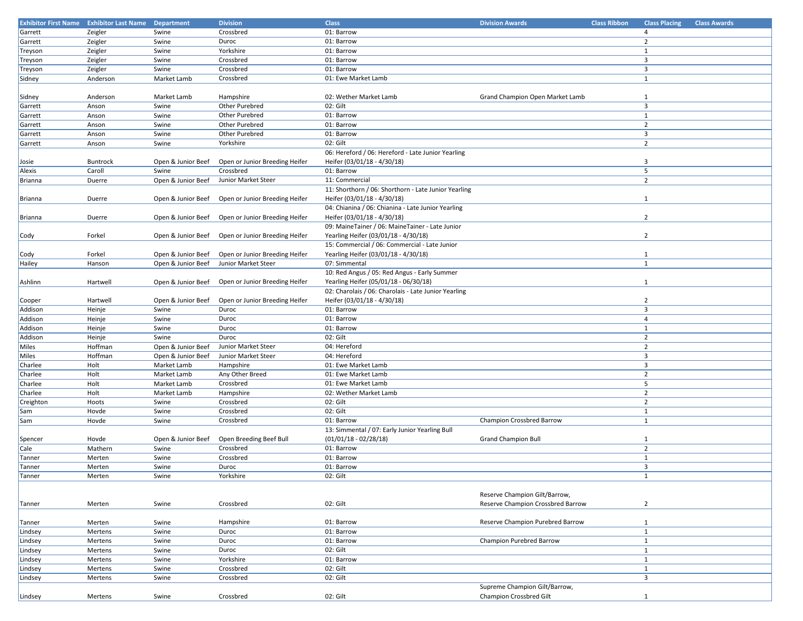|           | <b>Exhibitor First Name</b> Exhibitor Last Name Department |                    | <b>Division</b>                | <b>Class</b>                                         | <b>Division Awards</b>            | <b>Class Ribbon</b> | <b>Class Placing</b>    | <b>Class Awards</b> |
|-----------|------------------------------------------------------------|--------------------|--------------------------------|------------------------------------------------------|-----------------------------------|---------------------|-------------------------|---------------------|
| Garrett   | Zeigler                                                    | Swine              | Crossbred                      | 01: Barrow                                           |                                   |                     | $\overline{4}$          |                     |
| Garrett   | Zeigler                                                    | Swine              | Duroc                          | 01: Barrow                                           |                                   |                     | $\overline{2}$          |                     |
| Treyson   | Zeigler                                                    | Swine              | Yorkshire                      | 01: Barrow                                           |                                   |                     | $\mathbf{1}$            |                     |
|           |                                                            | Swine              | Crossbred                      | 01: Barrow                                           |                                   |                     | $\overline{\mathbf{3}}$ |                     |
| Treyson   | Zeigler                                                    |                    |                                |                                                      |                                   |                     |                         |                     |
| Treyson   | Zeigler                                                    | Swine              | Crossbred                      | 01: Barrow                                           |                                   |                     | $\overline{3}$          |                     |
| Sidney    | Anderson                                                   | Market Lamb        | Crossbred                      | 01: Ewe Market Lamb                                  |                                   |                     | $\mathbf{1}$            |                     |
|           |                                                            |                    |                                |                                                      |                                   |                     |                         |                     |
| Sidney    | Anderson                                                   | Market Lamb        | Hampshire                      | 02: Wether Market Lamb                               | Grand Champion Open Market Lamb   |                     | $\mathbf{1}$            |                     |
| Garrett   | Anson                                                      | Swine              | Other Purebred                 | 02: Gilt                                             |                                   |                     | 3                       |                     |
| Garrett   | Anson                                                      | Swine              | Other Purebred                 | 01: Barrow                                           |                                   |                     | $\mathbf{1}$            |                     |
| Garrett   | Anson                                                      | Swine              | Other Purebred                 | 01: Barrow                                           |                                   |                     | $\overline{2}$          |                     |
| Garrett   | Anson                                                      | Swine              | Other Purebred                 | 01: Barrow                                           |                                   |                     | $\overline{\mathbf{3}}$ |                     |
| Garrett   | Anson                                                      | Swine              | Yorkshire                      | 02: Gilt                                             |                                   |                     | $\overline{2}$          |                     |
|           |                                                            |                    |                                | 06: Hereford / 06: Hereford - Late Junior Yearling   |                                   |                     |                         |                     |
| Josie     | Buntrock                                                   | Open & Junior Beef | Open or Junior Breeding Heifer | Heifer (03/01/18 - 4/30/18)                          |                                   |                     | 3                       |                     |
| Alexis    | Caroll                                                     | Swine              | Crossbred                      | 01: Barrow                                           |                                   |                     | 5                       |                     |
| Brianna   | Duerre                                                     | Open & Junior Beef | Junior Market Steer            | 11: Commercial                                       |                                   |                     | $\overline{2}$          |                     |
|           |                                                            |                    |                                |                                                      |                                   |                     |                         |                     |
|           |                                                            |                    |                                | 11: Shorthorn / 06: Shorthorn - Late Junior Yearling |                                   |                     |                         |                     |
| Brianna   | Duerre                                                     | Open & Junior Beef | Open or Junior Breeding Heifer | Heifer (03/01/18 - 4/30/18)                          |                                   |                     | $\mathbf{1}$            |                     |
|           |                                                            |                    |                                | 04: Chianina / 06: Chianina - Late Junior Yearling   |                                   |                     |                         |                     |
| Brianna   | Duerre                                                     | Open & Junior Beef | Open or Junior Breeding Heifer | Heifer (03/01/18 - 4/30/18)                          |                                   |                     | $\overline{2}$          |                     |
|           |                                                            |                    |                                | 09: MaineTainer / 06: MaineTainer - Late Junior      |                                   |                     |                         |                     |
| Cody      | Forkel                                                     | Open & Junior Beef | Open or Junior Breeding Heifer | Yearling Heifer (03/01/18 - 4/30/18)                 |                                   |                     | $\overline{2}$          |                     |
|           |                                                            |                    |                                | 15: Commercial / 06: Commercial - Late Junior        |                                   |                     |                         |                     |
| Cody      | Forkel                                                     | Open & Junior Beef | Open or Junior Breeding Heifer | Yearling Heifer (03/01/18 - 4/30/18)                 |                                   |                     | $\mathbf{1}$            |                     |
| Hailey    | Hanson                                                     | Open & Junior Beef | Junior Market Steer            | 07: Simmental                                        |                                   |                     | $\mathbf{1}$            |                     |
|           |                                                            |                    |                                | 10: Red Angus / 05: Red Angus - Early Summer         |                                   |                     |                         |                     |
| Ashlinn   | Hartwell                                                   | Open & Junior Beef | Open or Junior Breeding Heifer | Yearling Heifer (05/01/18 - 06/30/18)                |                                   |                     | $\mathbf{1}$            |                     |
|           |                                                            |                    |                                | 02: Charolais / 06: Charolais - Late Junior Yearling |                                   |                     |                         |                     |
| Cooper    | Hartwell                                                   | Open & Junior Beef | Open or Junior Breeding Heifer | Heifer (03/01/18 - 4/30/18)                          |                                   |                     | $\overline{2}$          |                     |
| Addison   | Heinje                                                     | Swine              | Duroc                          | 01: Barrow                                           |                                   |                     | 3                       |                     |
| Addison   | Heinje                                                     | Swine              | Duroc                          | 01: Barrow                                           |                                   |                     | $\overline{4}$          |                     |
| Addison   | Heinje                                                     | Swine              | Duroc                          | 01: Barrow                                           |                                   |                     | $\mathbf{1}$            |                     |
| Addison   | Heinje                                                     | Swine              | Duroc                          | 02: Gilt                                             |                                   |                     | $\overline{2}$          |                     |
|           | Hoffman                                                    |                    |                                |                                                      |                                   |                     | $\overline{2}$          |                     |
| Miles     |                                                            | Open & Junior Beef | Junior Market Steer            | 04: Hereford                                         |                                   |                     |                         |                     |
| Miles     | Hoffman                                                    | Open & Junior Beef | Junior Market Steer            | 04: Hereford                                         |                                   |                     | $\overline{\mathbf{3}}$ |                     |
| Charlee   | Holt                                                       | Market Lamb        | Hampshire                      | 01: Ewe Market Lamb                                  |                                   |                     | $\overline{\mathbf{3}}$ |                     |
| Charlee   | Holt                                                       | Market Lamb        | Any Other Breed                | 01: Ewe Market Lamb                                  |                                   |                     | $\overline{2}$          |                     |
| Charlee   | Holt                                                       | Market Lamb        | Crossbred                      | 01: Ewe Market Lamb                                  |                                   |                     | 5                       |                     |
| Charlee   | Holt                                                       | Market Lamb        | Hampshire                      | 02: Wether Market Lamb                               |                                   |                     | $\overline{2}$          |                     |
| Creighton | Hoots                                                      | Swine              | Crossbred                      | 02: Gilt                                             |                                   |                     | $\overline{2}$          |                     |
| Sam       | Hovde                                                      | Swine              | Crossbred                      | 02: Gilt                                             |                                   |                     | $\mathbf{1}$            |                     |
| Sam       | Hovde                                                      | Swine              | Crossbred                      | 01: Barrow                                           | Champion Crossbred Barrow         |                     | $\mathbf{1}$            |                     |
|           |                                                            |                    |                                | 13: Simmental / 07: Early Junior Yearling Bull       |                                   |                     |                         |                     |
| Spencer   | Hovde                                                      | Open & Junior Beef | Open Breeding Beef Bull        | $(01/01/18 - 02/28/18)$                              | <b>Grand Champion Bull</b>        |                     | $\mathbf{1}$            |                     |
| Cale      | Mathern                                                    | Swine              | Crossbred                      | 01: Barrow                                           |                                   |                     | $\overline{2}$          |                     |
| Tanner    | Merten                                                     | Swine              | Crossbred                      | 01: Barrow                                           |                                   |                     | $\mathbf{1}$            |                     |
| Tanner    | Merten                                                     | Swine              | Duroc                          | 01: Barrow                                           |                                   |                     | 3                       |                     |
| Tanner    | Merten                                                     | Swine              | Yorkshire                      | 02: Gilt                                             |                                   |                     | $\mathbf{1}$            |                     |
|           |                                                            |                    |                                |                                                      |                                   |                     |                         |                     |
|           |                                                            |                    |                                |                                                      | Reserve Champion Gilt/Barrow,     |                     |                         |                     |
| Tanner    | Merten                                                     | Swine              | Crossbred                      | 02: Gilt                                             | Reserve Champion Crossbred Barrow |                     | $\overline{2}$          |                     |
|           |                                                            |                    |                                |                                                      |                                   |                     |                         |                     |
|           |                                                            |                    | Hampshire                      |                                                      |                                   |                     |                         |                     |
| Tanner    | Merten                                                     | Swine              |                                | 01: Barrow                                           | Reserve Champion Purebred Barrow  |                     | $\mathbf{1}$            |                     |
| Lindsey   | Mertens                                                    | Swine              | Duroc                          | 01: Barrow                                           |                                   |                     | $\mathbf{1}$            |                     |
| Lindsey   | Mertens                                                    | Swine              | Duroc                          | 01: Barrow                                           | Champion Purebred Barrow          |                     | $\mathbf{1}$            |                     |
| Lindsey   | Mertens                                                    | Swine              | Duroc                          | 02: Gilt                                             |                                   |                     | $\mathbf{1}$            |                     |
| Lindsey   | Mertens                                                    | Swine              | Yorkshire                      | 01: Barrow                                           |                                   |                     | $\mathbf{1}$            |                     |
| Lindsey   | Mertens                                                    | Swine              | Crossbred                      | 02: Gilt                                             |                                   |                     | $\mathbf{1}$            |                     |
| Lindsey   | Mertens                                                    | Swine              | Crossbred                      | 02: Gilt                                             |                                   |                     | 3                       |                     |
|           |                                                            |                    |                                |                                                      | Supreme Champion Gilt/Barrow,     |                     |                         |                     |
| Lindsey   | Mertens                                                    | Swine              | Crossbred                      | 02: Gilt                                             | Champion Crossbred Gilt           |                     | $\mathbf{1}$            |                     |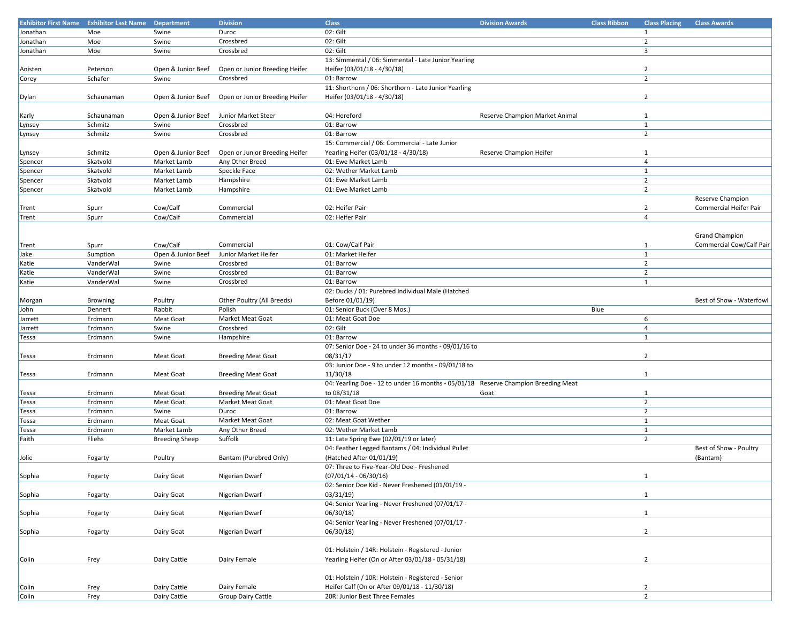| <b>Exhibitor First Name</b> | <b>Exhibitor Last Name Department</b> |                       | <b>Division</b>                | <b>Class</b>                                                                       | <b>Division Awards</b>         | <b>Class Ribbon</b> | <b>Class Placing</b> | <b>Class Awards</b>      |
|-----------------------------|---------------------------------------|-----------------------|--------------------------------|------------------------------------------------------------------------------------|--------------------------------|---------------------|----------------------|--------------------------|
| Jonathan                    | Moe                                   | Swine                 | Duroc                          | 02: Gilt                                                                           |                                |                     | 1                    |                          |
| Jonathan                    | Moe                                   | Swine                 | Crossbred                      | 02: Gilt                                                                           |                                |                     | $\overline{2}$       |                          |
| Jonathan                    | Moe                                   | Swine                 | Crossbred                      | 02: Gilt                                                                           |                                |                     | 3                    |                          |
|                             |                                       |                       |                                | 13: Simmental / 06: Simmental - Late Junior Yearling                               |                                |                     |                      |                          |
|                             |                                       |                       |                                |                                                                                    |                                |                     | $\overline{2}$       |                          |
| Anisten                     | Peterson                              | Open & Junior Beef    | Open or Junior Breeding Heifer | Heifer (03/01/18 - 4/30/18)                                                        |                                |                     |                      |                          |
| Corey                       | Schafer                               | Swine                 | Crossbred                      | 01: Barrow                                                                         |                                |                     | $\overline{2}$       |                          |
|                             |                                       |                       |                                | 11: Shorthorn / 06: Shorthorn - Late Junior Yearling                               |                                |                     |                      |                          |
| Dylan                       | Schaunaman                            | Open & Junior Beef    | Open or Junior Breeding Heifer | Heifer (03/01/18 - 4/30/18)                                                        |                                |                     | $\overline{2}$       |                          |
|                             |                                       |                       |                                |                                                                                    |                                |                     |                      |                          |
| Karly                       | Schaunaman                            | Open & Junior Beef    | Junior Market Steer            | 04: Hereford                                                                       | Reserve Champion Market Animal |                     | $\mathbf{1}$         |                          |
| Lynsey                      | Schmitz                               | Swine                 | Crossbred                      | 01: Barrow                                                                         |                                |                     | $\mathbf{1}$         |                          |
| Lynsey                      | Schmitz                               | Swine                 | Crossbred                      | 01: Barrow                                                                         |                                |                     | $\overline{2}$       |                          |
|                             |                                       |                       |                                | 15: Commercial / 06: Commercial - Late Junior                                      |                                |                     |                      |                          |
| Lynsey                      | Schmitz                               | Open & Junior Beef    | Open or Junior Breeding Heifer | Yearling Heifer (03/01/18 - 4/30/18)                                               | Reserve Champion Heifer        |                     | $\mathbf{1}$         |                          |
| Spencer                     | Skatvold                              | Market Lamb           | Any Other Breed                | 01: Ewe Market Lamb                                                                |                                |                     | $\overline{4}$       |                          |
| Spencer                     | Skatvold                              | Market Lamb           | Speckle Face                   | 02: Wether Market Lamb                                                             |                                |                     | $\mathbf{1}$         |                          |
| Spencer                     | Skatvold                              | Market Lamb           | Hampshire                      | 01: Ewe Market Lamb                                                                |                                |                     | $\overline{2}$       |                          |
|                             |                                       |                       |                                |                                                                                    |                                |                     |                      |                          |
| Spencer                     | Skatvold                              | Market Lamb           | Hampshire                      | 01: Ewe Market Lamb                                                                |                                |                     | $\overline{2}$       |                          |
|                             |                                       |                       |                                |                                                                                    |                                |                     |                      | Reserve Champion         |
| Trent                       | Spurr                                 | Cow/Calf              | Commercial                     | 02: Heifer Pair                                                                    |                                |                     | $\overline{2}$       | Commercial Heifer Pair   |
| Trent                       | Spurr                                 | Cow/Calf              | Commercial                     | 02: Heifer Pair                                                                    |                                |                     | $\overline{4}$       |                          |
|                             |                                       |                       |                                |                                                                                    |                                |                     |                      |                          |
|                             |                                       |                       |                                |                                                                                    |                                |                     |                      | <b>Grand Champion</b>    |
| Trent                       | Spurr                                 | Cow/Calf              | Commercial                     | 01: Cow/Calf Pair                                                                  |                                |                     | 1                    | Commercial Cow/Calf Pair |
| Jake                        | Sumption                              | Open & Junior Beef    | Junior Market Heifer           | 01: Market Heifer                                                                  |                                |                     | $\mathbf{1}$         |                          |
| Katie                       | VanderWal                             | Swine                 | Crossbred                      | 01: Barrow                                                                         |                                |                     | $\overline{2}$       |                          |
| Katie                       | VanderWal                             | Swine                 | Crossbred                      | 01: Barrow                                                                         |                                |                     | $\overline{2}$       |                          |
| Katie                       | VanderWal                             | Swine                 | Crossbred                      | 01: Barrow                                                                         |                                |                     | $\mathbf{1}$         |                          |
|                             |                                       |                       |                                | 02: Ducks / 01: Purebred Individual Male (Hatched                                  |                                |                     |                      |                          |
|                             |                                       |                       | Other Poultry (All Breeds)     | Before 01/01/19)                                                                   |                                |                     |                      | Best of Show - Waterfowl |
| Morgan                      | <b>Browning</b>                       | Poultry               |                                |                                                                                    |                                |                     |                      |                          |
| John                        | Dennert                               | Rabbit                | Polish                         | 01: Senior Buck (Over 8 Mos.)                                                      |                                | Blue                |                      |                          |
| Jarrett                     | Erdmann                               | <b>Meat Goat</b>      | Market Meat Goat               | 01: Meat Goat Doe                                                                  |                                |                     | 6                    |                          |
| Jarrett                     | Erdmann                               | Swine                 | Crossbred                      | 02: Gilt                                                                           |                                |                     | 4                    |                          |
| Tessa                       | Erdmann                               | Swine                 | Hampshire                      | 01: Barrow                                                                         |                                |                     | $\mathbf{1}$         |                          |
|                             |                                       |                       |                                | 07: Senior Doe - 24 to under 36 months - 09/01/16 to                               |                                |                     |                      |                          |
| Tessa                       | Erdmann                               | Meat Goat             | <b>Breeding Meat Goat</b>      | 08/31/17                                                                           |                                |                     | $\overline{2}$       |                          |
|                             |                                       |                       |                                | 03: Junior Doe - 9 to under 12 months - 09/01/18 to                                |                                |                     |                      |                          |
| Tessa                       | Erdmann                               | Meat Goat             | <b>Breeding Meat Goat</b>      | 11/30/18                                                                           |                                |                     | 1                    |                          |
|                             |                                       |                       |                                | 04: Yearling Doe - 12 to under 16 months - 05/01/18 Reserve Champion Breeding Meat |                                |                     |                      |                          |
| Tessa                       | Erdmann                               | Meat Goat             | <b>Breeding Meat Goat</b>      | to 08/31/18                                                                        | Goat                           |                     | 1                    |                          |
| Tessa                       | Erdmann                               | <b>Meat Goat</b>      | Market Meat Goat               | 01: Meat Goat Doe                                                                  |                                |                     | $\overline{2}$       |                          |
| Tessa                       | Erdmann                               | Swine                 | Duroc                          | 01: Barrow                                                                         |                                |                     | $\overline{2}$       |                          |
| Tessa                       | Erdmann                               | <b>Meat Goat</b>      | Market Meat Goat               | 02: Meat Goat Wether                                                               |                                |                     | $\mathbf{1}$         |                          |
|                             | Erdmann                               | Market Lamb           |                                | 02: Wether Market Lamb                                                             |                                |                     | $\mathbf{1}$         |                          |
| Tessa                       |                                       |                       | Any Other Breed                |                                                                                    |                                |                     | $\overline{2}$       |                          |
| Faith                       | Fliehs                                | <b>Breeding Sheep</b> | Suffolk                        | 11: Late Spring Ewe (02/01/19 or later)                                            |                                |                     |                      |                          |
|                             |                                       |                       |                                | 04: Feather Legged Bantams / 04: Individual Pullet                                 |                                |                     |                      | Best of Show - Poultry   |
| Jolie                       | Fogarty                               | Poultry               | Bantam (Purebred Only)         | (Hatched After 01/01/19)                                                           |                                |                     |                      | (Bantam)                 |
|                             |                                       |                       |                                | 07: Three to Five-Year-Old Doe - Freshened                                         |                                |                     |                      |                          |
| Sophia                      | Fogarty                               | Dairy Goat            | Nigerian Dwarf                 | $(07/01/14 - 06/30/16)$                                                            |                                |                     | $\mathbf{1}$         |                          |
|                             |                                       |                       |                                | 02: Senior Doe Kid - Never Freshened (01/01/19 -                                   |                                |                     |                      |                          |
| Sophia                      | Fogarty                               | Dairy Goat            | Nigerian Dwarf                 | 03/31/19                                                                           |                                |                     | $\mathbf{1}$         |                          |
|                             |                                       |                       |                                | 04: Senior Yearling - Never Freshened (07/01/17 -                                  |                                |                     |                      |                          |
| Sophia                      | Fogarty                               | Dairy Goat            | Nigerian Dwarf                 | 06/30/18                                                                           |                                |                     | $\mathbf{1}$         |                          |
|                             |                                       |                       |                                | 04: Senior Yearling - Never Freshened (07/01/17 -                                  |                                |                     |                      |                          |
| Sophia                      | Fogarty                               | Dairy Goat            | Nigerian Dwarf                 | 06/30/18                                                                           |                                |                     | $\overline{2}$       |                          |
|                             |                                       |                       |                                |                                                                                    |                                |                     |                      |                          |
|                             |                                       |                       |                                | 01: Holstein / 14R: Holstein - Registered - Junior                                 |                                |                     |                      |                          |
|                             |                                       |                       |                                |                                                                                    |                                |                     |                      |                          |
| Colin                       | Frey                                  | Dairy Cattle          | Dairy Female                   | Yearling Heifer (On or After 03/01/18 - 05/31/18)                                  |                                |                     | $\overline{2}$       |                          |
|                             |                                       |                       |                                |                                                                                    |                                |                     |                      |                          |
|                             |                                       |                       |                                | 01: Holstein / 10R: Holstein - Registered - Senior                                 |                                |                     |                      |                          |
| Colin                       | Frey                                  | Dairy Cattle          | Dairy Female                   | Heifer Calf (On or After 09/01/18 - 11/30/18)                                      |                                |                     | $\overline{2}$       |                          |
| Colin                       | Frey                                  | Dairy Cattle          | Group Dairy Cattle             | 20R: Junior Best Three Females                                                     |                                |                     | $\overline{2}$       |                          |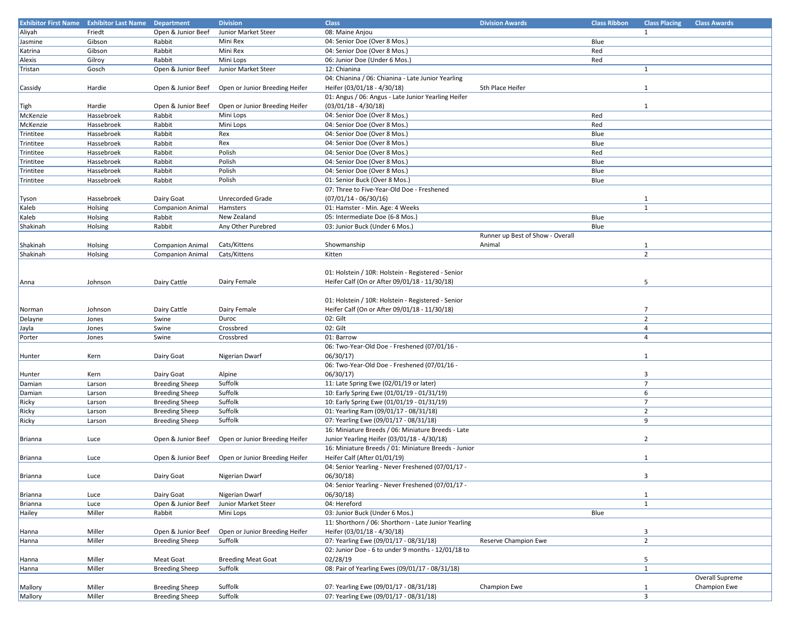|           | <b>Exhibitor First Name Exhibitor Last Name Department</b> |                         | <b>Division</b>                                   | <b>Class</b>                                         | <b>Division Awards</b>           | <b>Class Ribbon</b> | <b>Class Placing</b> | <b>Class Awards</b> |
|-----------|------------------------------------------------------------|-------------------------|---------------------------------------------------|------------------------------------------------------|----------------------------------|---------------------|----------------------|---------------------|
| Aliyah    | Friedt                                                     | Open & Junior Beef      | Junior Market Steer                               | 08: Maine Anjou                                      |                                  |                     | $\mathbf{1}$         |                     |
| Jasmine   | Gibson                                                     | Rabbit                  | Mini Rex                                          | 04: Senior Doe (Over 8 Mos.)                         |                                  | Blue                |                      |                     |
| Katrina   | Gibson                                                     | Rabbit                  | Mini Rex                                          | 04: Senior Doe (Over 8 Mos.)                         |                                  | Red                 |                      |                     |
| Alexis    | Gilroy                                                     | Rabbit                  | Mini Lops                                         | 06: Junior Doe (Under 6 Mos.)                        |                                  | Red                 |                      |                     |
|           |                                                            |                         |                                                   |                                                      |                                  |                     |                      |                     |
| Tristan   | Gosch                                                      | Open & Junior Beef      | Junior Market Steer                               | 12: Chianina                                         |                                  |                     | $\mathbf{1}$         |                     |
|           |                                                            |                         |                                                   | 04: Chianina / 06: Chianina - Late Junior Yearling   |                                  |                     |                      |                     |
| Cassidy   | Hardie                                                     | Open & Junior Beef      | Open or Junior Breeding Heifer                    | Heifer (03/01/18 - 4/30/18)                          | 5th Place Heifer                 |                     | $\mathbf{1}$         |                     |
|           |                                                            |                         |                                                   | 01: Angus / 06: Angus - Late Junior Yearling Heifer  |                                  |                     |                      |                     |
| Tigh      | Hardie                                                     | Open & Junior Beef      | Open or Junior Breeding Heifer                    | $(03/01/18 - 4/30/18)$                               |                                  |                     | $\mathbf{1}$         |                     |
| McKenzie  | Hassebroek                                                 | Rabbit                  | Mini Lops                                         | 04: Senior Doe (Over 8 Mos.)                         |                                  | Red                 |                      |                     |
| McKenzie  | Hassebroek                                                 | Rabbit                  | Mini Lops                                         | 04: Senior Doe (Over 8 Mos.)                         |                                  | Red                 |                      |                     |
| Trintitee | Hassebroek                                                 | Rabbit                  | Rex                                               | 04: Senior Doe (Over 8 Mos.)                         |                                  | Blue                |                      |                     |
| Trintitee | Hassebroek                                                 | Rabbit                  | Rex                                               | 04: Senior Doe (Over 8 Mos.)                         |                                  | Blue                |                      |                     |
| Trintitee | Hassebroek                                                 | Rabbit                  | Polish                                            | 04: Senior Doe (Over 8 Mos.)                         |                                  | Red                 |                      |                     |
| Trintitee | Hassebroek                                                 | Rabbit                  | Polish                                            | 04: Senior Doe (Over 8 Mos.)                         |                                  | Blue                |                      |                     |
|           | Hassebroek                                                 | Rabbit                  | Polish                                            |                                                      |                                  | Blue                |                      |                     |
| Trintitee |                                                            |                         |                                                   | 04: Senior Doe (Over 8 Mos.)                         |                                  |                     |                      |                     |
| Trintitee | Hassebroek                                                 | Rabbit                  | Polish                                            | 01: Senior Buck (Over 8 Mos.)                        |                                  | Blue                |                      |                     |
|           |                                                            |                         |                                                   | 07: Three to Five-Year-Old Doe - Freshened           |                                  |                     |                      |                     |
| Tyson     | Hassebroek                                                 | Dairy Goat              | Unrecorded Grade                                  | $(07/01/14 - 06/30/16)$                              |                                  |                     | 1                    |                     |
| Kaleb     | Holsing                                                    | <b>Companion Animal</b> | Hamsters                                          | 01: Hamster - Min. Age: 4 Weeks                      |                                  |                     | 1                    |                     |
| Kaleb     | Holsing                                                    | Rabbit                  | New Zealand                                       | 05: Intermediate Doe (6-8 Mos.)                      |                                  | Blue                |                      |                     |
| Shakinah  | Holsing                                                    | Rabbit                  | Any Other Purebred                                | 03: Junior Buck (Under 6 Mos.)                       |                                  | Blue                |                      |                     |
|           |                                                            |                         |                                                   |                                                      | Runner up Best of Show - Overall |                     |                      |                     |
| Shakinah  | Holsing                                                    | <b>Companion Animal</b> | Cats/Kittens                                      | Showmanship                                          | Animal                           |                     | $\mathbf{1}$         |                     |
| Shakinah  | Holsing                                                    | <b>Companion Animal</b> | Cats/Kittens                                      | Kitten                                               |                                  |                     | $\overline{2}$       |                     |
|           |                                                            |                         |                                                   |                                                      |                                  |                     |                      |                     |
|           |                                                            |                         |                                                   | 01: Holstein / 10R: Holstein - Registered - Senior   |                                  |                     |                      |                     |
| Anna      | Johnson                                                    | Dairy Cattle            | Dairy Female                                      | Heifer Calf (On or After 09/01/18 - 11/30/18)        |                                  |                     | 5                    |                     |
|           |                                                            |                         |                                                   |                                                      |                                  |                     |                      |                     |
|           |                                                            |                         |                                                   | 01: Holstein / 10R: Holstein - Registered - Senior   |                                  |                     |                      |                     |
|           |                                                            |                         |                                                   |                                                      |                                  |                     |                      |                     |
| Norman    | Johnson                                                    | Dairy Cattle            | Dairy Female                                      | Heifer Calf (On or After 09/01/18 - 11/30/18)        |                                  |                     | 7                    |                     |
| Delayne   | Jones                                                      | Swine                   | Duroc                                             | 02: Gilt                                             |                                  |                     | $\overline{2}$       |                     |
| Jayla     | Jones                                                      | Swine                   | Crossbred                                         | 02: Gilt                                             |                                  |                     | $\overline{4}$       |                     |
| Porter    | Jones                                                      | Swine                   | Crossbred                                         | 01: Barrow                                           |                                  |                     | $\overline{4}$       |                     |
|           |                                                            |                         |                                                   | 06: Two-Year-Old Doe - Freshened (07/01/16 -         |                                  |                     |                      |                     |
| Hunter    | Kern                                                       | Dairy Goat              | Nigerian Dwarf                                    | 06/30/17                                             |                                  |                     | $\mathbf{1}$         |                     |
|           |                                                            |                         |                                                   | 06: Two-Year-Old Doe - Freshened (07/01/16 -         |                                  |                     |                      |                     |
| Hunter    | Kern                                                       | Dairy Goat              | Alpine                                            | 06/30/17                                             |                                  |                     | 3                    |                     |
| Damian    | Larson                                                     | <b>Breeding Sheep</b>   | Suffolk                                           | 11: Late Spring Ewe (02/01/19 or later)              |                                  |                     | $\overline{7}$       |                     |
| Damian    | Larson                                                     | <b>Breeding Sheep</b>   | Suffolk                                           | 10: Early Spring Ewe (01/01/19 - 01/31/19)           |                                  |                     | 6                    |                     |
| Ricky     | Larson                                                     | <b>Breeding Sheep</b>   | Suffolk                                           | 10: Early Spring Ewe (01/01/19 - 01/31/19)           |                                  |                     | $\overline{7}$       |                     |
| Ricky     | Larson                                                     | <b>Breeding Sheep</b>   | Suffolk                                           | 01: Yearling Ram (09/01/17 - 08/31/18)               |                                  |                     | $\overline{2}$       |                     |
| Ricky     | Larson                                                     | <b>Breeding Sheep</b>   | Suffolk                                           | 07: Yearling Ewe (09/01/17 - 08/31/18)               |                                  |                     | 9                    |                     |
|           |                                                            |                         |                                                   | 16: Miniature Breeds / 06: Miniature Breeds - Late   |                                  |                     |                      |                     |
|           |                                                            |                         |                                                   |                                                      |                                  |                     | $\overline{2}$       |                     |
| Brianna   | Luce                                                       | Open & Junior Beef      | Open or Junior Breeding Heifer                    | Junior Yearling Heifer (03/01/18 - 4/30/18)          |                                  |                     |                      |                     |
|           |                                                            |                         |                                                   | 16: Miniature Breeds / 01: Miniature Breeds - Junior |                                  |                     |                      |                     |
| Brianna   | Luce                                                       |                         | Open & Junior Beef Open or Junior Breeding Heifer | Heifer Calf (After 01/01/19)                         |                                  |                     | $\mathbf{1}$         |                     |
|           |                                                            |                         |                                                   | 04: Senior Yearling - Never Freshened (07/01/17 -    |                                  |                     |                      |                     |
| Brianna   | Luce                                                       | Dairy Goat              | Nigerian Dwarf                                    | 06/30/18)                                            |                                  |                     | 3                    |                     |
|           |                                                            |                         |                                                   | 04: Senior Yearling - Never Freshened (07/01/17 -    |                                  |                     |                      |                     |
| Brianna   | Luce                                                       | Dairy Goat              | Nigerian Dwarf                                    | 06/30/18)                                            |                                  |                     | $\mathbf{1}$         |                     |
| Brianna   | Luce                                                       | Open & Junior Beef      | Junior Market Steer                               | 04: Hereford                                         |                                  |                     | $\mathbf{1}$         |                     |
| Hailey    | Miller                                                     | Rabbit                  | Mini Lops                                         | 03: Junior Buck (Under 6 Mos.)                       |                                  | Blue                |                      |                     |
|           |                                                            |                         |                                                   | 11: Shorthorn / 06: Shorthorn - Late Junior Yearling |                                  |                     |                      |                     |
| Hanna     | Miller                                                     | Open & Junior Beef      | Open or Junior Breeding Heifer                    | Heifer (03/01/18 - 4/30/18)                          |                                  |                     | 3                    |                     |
| Hanna     | Miller                                                     | <b>Breeding Sheep</b>   | Suffolk                                           | 07: Yearling Ewe (09/01/17 - 08/31/18)               | Reserve Champion Ewe             |                     | $\overline{2}$       |                     |
|           |                                                            |                         |                                                   | 02: Junior Doe - 6 to under 9 months - 12/01/18 to   |                                  |                     |                      |                     |
| Hanna     | Miller                                                     | Meat Goat               | <b>Breeding Meat Goat</b>                         | 02/28/19                                             |                                  |                     | 5                    |                     |
| Hanna     | Miller                                                     | <b>Breeding Sheep</b>   | Suffolk                                           | 08: Pair of Yearling Ewes (09/01/17 - 08/31/18)      |                                  |                     | $\mathbf{1}$         |                     |
|           |                                                            |                         |                                                   |                                                      |                                  |                     |                      | Overall Supreme     |
| Mallory   | Miller                                                     | <b>Breeding Sheep</b>   | Suffolk                                           | 07: Yearling Ewe (09/01/17 - 08/31/18)               | Champion Ewe                     |                     | $\mathbf{1}$         | Champion Ewe        |
|           |                                                            |                         | Suffolk                                           | 07: Yearling Ewe (09/01/17 - 08/31/18)               |                                  |                     | 3                    |                     |
| Mallory   | Miller                                                     | <b>Breeding Sheep</b>   |                                                   |                                                      |                                  |                     |                      |                     |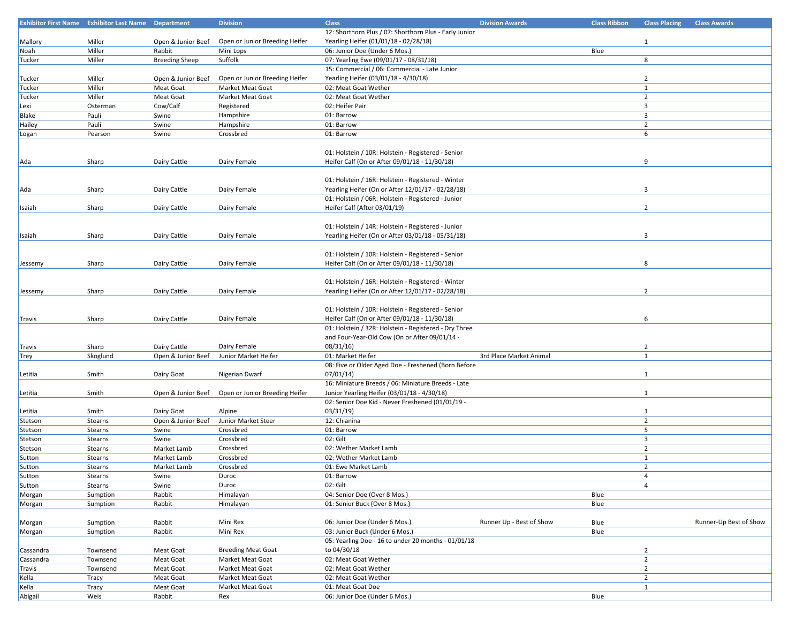|           | <b>Exhibitor First Name Exhibitor Last Name Department</b> |                       | <b>Division</b>                | <b>Class</b>                                           | <b>Division Awards</b>   | <b>Class Ribbon</b> | <b>Class Placing</b>    | <b>Class Awards</b>    |
|-----------|------------------------------------------------------------|-----------------------|--------------------------------|--------------------------------------------------------|--------------------------|---------------------|-------------------------|------------------------|
|           |                                                            |                       |                                | 12: Shorthorn Plus / 07: Shorthorn Plus - Early Junior |                          |                     |                         |                        |
| Mallory   | Miller                                                     | Open & Junior Beef    | Open or Junior Breeding Heifer | Yearling Heifer (01/01/18 - 02/28/18)                  |                          |                     | $\mathbf{1}$            |                        |
|           |                                                            |                       |                                |                                                        |                          |                     |                         |                        |
| Noah      | Miller                                                     | Rabbit                | Mini Lops                      | 06: Junior Doe (Under 6 Mos.)                          |                          | Blue                |                         |                        |
| Tucker    | Miller                                                     | <b>Breeding Sheep</b> | Suffolk                        | 07: Yearling Ewe (09/01/17 - 08/31/18)                 |                          |                     | 8                       |                        |
|           |                                                            |                       |                                | 15: Commercial / 06: Commercial - Late Junior          |                          |                     |                         |                        |
| Tucker    | Miller                                                     | Open & Junior Beef    | Open or Junior Breeding Heifer | Yearling Heifer (03/01/18 - 4/30/18)                   |                          |                     | $\overline{2}$          |                        |
| Tucker    | Miller                                                     | Meat Goat             | Market Meat Goat               | 02: Meat Goat Wether                                   |                          |                     | $\mathbf{1}$            |                        |
| Tucker    | Miller                                                     | Meat Goat             | Market Meat Goat               | 02: Meat Goat Wether                                   |                          |                     | $\overline{2}$          |                        |
| Lexi      | Osterman                                                   | Cow/Calf              | Registered                     | 02: Heifer Pair                                        |                          |                     | 3                       |                        |
| Blake     | Pauli                                                      | Swine                 | Hampshire                      | 01: Barrow                                             |                          |                     | 3                       |                        |
|           |                                                            |                       |                                |                                                        |                          |                     |                         |                        |
| Hailey    | Pauli                                                      | Swine                 | Hampshire                      | 01: Barrow                                             |                          |                     | $\overline{2}$          |                        |
| Logan     | Pearson                                                    | Swine                 | Crossbred                      | 01: Barrow                                             |                          |                     | 6                       |                        |
|           |                                                            |                       |                                |                                                        |                          |                     |                         |                        |
|           |                                                            |                       |                                | 01: Holstein / 10R: Holstein - Registered - Senior     |                          |                     |                         |                        |
| Ada       | Sharp                                                      | Dairy Cattle          | Dairy Female                   | Heifer Calf (On or After 09/01/18 - 11/30/18)          |                          |                     | 9                       |                        |
|           |                                                            |                       |                                |                                                        |                          |                     |                         |                        |
|           |                                                            |                       |                                | 01: Holstein / 16R: Holstein - Registered - Winter     |                          |                     |                         |                        |
|           |                                                            |                       |                                |                                                        |                          |                     |                         |                        |
| Ada       | Sharp                                                      | Dairy Cattle          | Dairy Female                   | Yearling Heifer (On or After 12/01/17 - 02/28/18)      |                          |                     | 3                       |                        |
|           |                                                            |                       |                                | 01: Holstein / 06R: Holstein - Registered - Junior     |                          |                     |                         |                        |
| Isaiah    | Sharp                                                      | Dairy Cattle          | Dairy Female                   | Heifer Calf (After 03/01/19)                           |                          |                     | $\overline{2}$          |                        |
|           |                                                            |                       |                                |                                                        |                          |                     |                         |                        |
|           |                                                            |                       |                                | 01: Holstein / 14R: Holstein - Registered - Junior     |                          |                     |                         |                        |
| Isaiah    | Sharp                                                      | Dairy Cattle          | Dairy Female                   | Yearling Heifer (On or After 03/01/18 - 05/31/18)      |                          |                     | 3                       |                        |
|           |                                                            |                       |                                |                                                        |                          |                     |                         |                        |
|           |                                                            |                       |                                |                                                        |                          |                     |                         |                        |
|           |                                                            |                       |                                | 01: Holstein / 10R: Holstein - Registered - Senior     |                          |                     |                         |                        |
| Jessemy   | Sharp                                                      | Dairy Cattle          | Dairy Female                   | Heifer Calf (On or After 09/01/18 - 11/30/18)          |                          |                     | 8                       |                        |
|           |                                                            |                       |                                |                                                        |                          |                     |                         |                        |
|           |                                                            |                       |                                | 01: Holstein / 16R: Holstein - Registered - Winter     |                          |                     |                         |                        |
| Jessemy   | Sharp                                                      | Dairy Cattle          | Dairy Female                   | Yearling Heifer (On or After 12/01/17 - 02/28/18)      |                          |                     | $\overline{2}$          |                        |
|           |                                                            |                       |                                |                                                        |                          |                     |                         |                        |
|           |                                                            |                       |                                | 01: Holstein / 10R: Holstein - Registered - Senior     |                          |                     |                         |                        |
| Travis    | Sharp                                                      | Dairy Cattle          | Dairy Female                   | Heifer Calf (On or After 09/01/18 - 11/30/18)          |                          |                     | 6                       |                        |
|           |                                                            |                       |                                |                                                        |                          |                     |                         |                        |
|           |                                                            |                       |                                | 01: Holstein / 32R: Holstein - Registered - Dry Three  |                          |                     |                         |                        |
|           |                                                            |                       |                                | and Four-Year-Old Cow (On or After 09/01/14 -          |                          |                     |                         |                        |
| Travis    | Sharp                                                      | Dairy Cattle          | Dairy Female                   | 08/31/16                                               |                          |                     | $\overline{2}$          |                        |
| Trey      | Skoglund                                                   | Open & Junior Beef    | Junior Market Heifer           | 01: Market Heifer                                      | 3rd Place Market Animal  |                     | $\mathbf{1}$            |                        |
|           |                                                            |                       |                                | 08: Five or Older Aged Doe - Freshened (Born Before    |                          |                     |                         |                        |
| Letitia   | Smith                                                      | Dairy Goat            | Nigerian Dwarf                 | 07/01/14)                                              |                          |                     | $\mathbf{1}$            |                        |
|           |                                                            |                       |                                | 16: Miniature Breeds / 06: Miniature Breeds - Late     |                          |                     |                         |                        |
|           | Smith                                                      |                       | Open or Junior Breeding Heifer | Junior Yearling Heifer (03/01/18 - 4/30/18)            |                          |                     |                         |                        |
| Letitia   |                                                            | Open & Junior Beef    |                                |                                                        |                          |                     | $\mathbf{1}$            |                        |
|           |                                                            |                       |                                | 02: Senior Doe Kid - Never Freshened (01/01/19 -       |                          |                     |                         |                        |
| Letitia   | Smith                                                      | Dairy Goat            | Alpine                         | 03/31/19                                               |                          |                     | $\mathbf{1}$            |                        |
| Stetson   | Stearns                                                    | Open & Junior Beef    | Junior Market Steer            | 12: Chianina                                           |                          |                     | $\overline{2}$          |                        |
| Stetson   | Stearns                                                    | Swine                 | Crossbred                      | 01: Barrow                                             |                          |                     | 5                       |                        |
| Stetson   | Stearns                                                    | Swine                 | Crossbred                      | 02: Gilt                                               |                          |                     | $\overline{\mathbf{3}}$ |                        |
| Stetson   | Stearns                                                    | Market Lamb           | Crossbred                      | 02: Wether Market Lamb                                 |                          |                     | $\overline{2}$          |                        |
| Sutton    | Stearns                                                    | Market Lamb           | Crossbred                      | 02: Wether Market Lamb                                 |                          |                     | $\mathbf{1}$            |                        |
| Sutton    | Stearns                                                    | Market Lamb           | Crossbred                      | 01: Ewe Market Lamb                                    |                          |                     | $\overline{2}$          |                        |
|           |                                                            |                       |                                |                                                        |                          |                     |                         |                        |
| Sutton    | Stearns                                                    | Swine                 | Duroc                          | 01: Barrow                                             |                          |                     | 4                       |                        |
| Sutton    | Stearns                                                    | Swine                 | Duroc                          | 02: Gilt                                               |                          |                     | $\overline{4}$          |                        |
| Morgan    | Sumption                                                   | Rabbit                | Himalayan                      | 04: Senior Doe (Over 8 Mos.)                           |                          | Blue                |                         |                        |
| Morgan    | Sumption                                                   | Rabbit                | Himalayan                      | 01: Senior Buck (Over 8 Mos.)                          |                          | Blue                |                         |                        |
|           |                                                            |                       |                                |                                                        |                          |                     |                         |                        |
| Morgan    | Sumption                                                   | Rabbit                | Mini Rex                       | 06: Junior Doe (Under 6 Mos.)                          | Runner Up - Best of Show | Blue                |                         | Runner-Up Best of Show |
| Morgan    | Sumption                                                   | Rabbit                | Mini Rex                       | 03: Junior Buck (Under 6 Mos.)                         |                          | Blue                |                         |                        |
|           |                                                            |                       |                                | 05: Yearling Doe - 16 to under 20 months - 01/01/18    |                          |                     |                         |                        |
| Cassandra | Townsend                                                   | Meat Goat             | <b>Breeding Meat Goat</b>      | to 04/30/18                                            |                          |                     | $\overline{2}$          |                        |
|           |                                                            |                       |                                |                                                        |                          |                     | $\overline{2}$          |                        |
| Cassandra | Townsend                                                   | Meat Goat             | Market Meat Goat               | 02: Meat Goat Wether                                   |                          |                     |                         |                        |
| Travis    | Townsend                                                   | Meat Goat             | Market Meat Goat               | 02: Meat Goat Wether                                   |                          |                     | $\overline{2}$          |                        |
| Kella     | Tracy                                                      | Meat Goat             | Market Meat Goat               | 02: Meat Goat Wether                                   |                          |                     | $\overline{2}$          |                        |
| Kella     | Tracy                                                      | Meat Goat             | Market Meat Goat               | 01: Meat Goat Doe                                      |                          |                     | $\mathbf{1}$            |                        |
| Abigail   | Weis                                                       | Rabbit                | Rex                            | 06: Junior Doe (Under 6 Mos.)                          |                          | Blue                |                         |                        |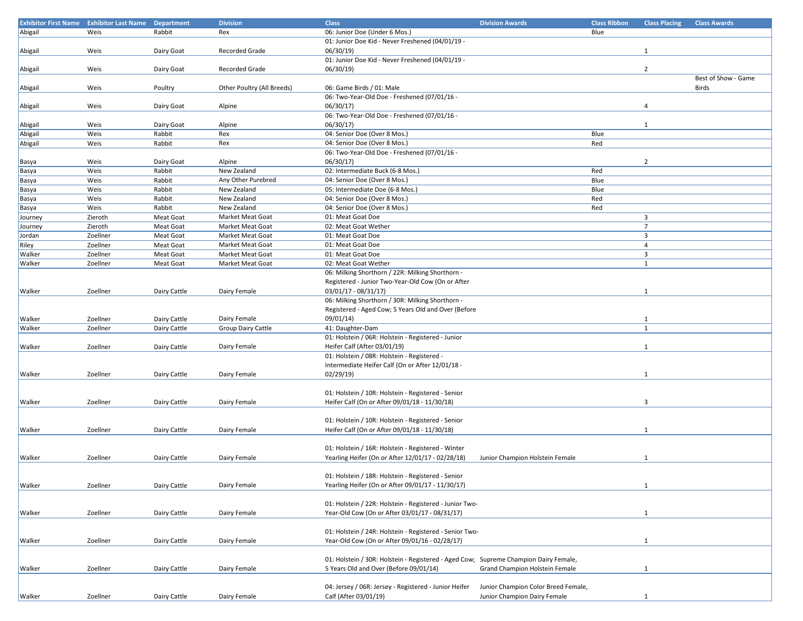| <b>Exhibitor First Name</b> | <b>Exhibitor Last Name</b> | <b>Department</b> | <b>Division</b>            | <b>Class</b>                                                                         | <b>Division Awards</b>              | <b>Class Ribbon</b> | <b>Class Placing</b>    | <b>Class Awards</b> |
|-----------------------------|----------------------------|-------------------|----------------------------|--------------------------------------------------------------------------------------|-------------------------------------|---------------------|-------------------------|---------------------|
| Abigail                     | Weis                       | Rabbit            | Rex                        | 06: Junior Doe (Under 6 Mos.)                                                        |                                     | Blue                |                         |                     |
|                             |                            |                   |                            | 01: Junior Doe Kid - Never Freshened (04/01/19 -                                     |                                     |                     |                         |                     |
| Abigail                     | Weis                       | Dairy Goat        | <b>Recorded Grade</b>      | 06/30/19                                                                             |                                     |                     | $\mathbf{1}$            |                     |
|                             |                            |                   |                            | 01: Junior Doe Kid - Never Freshened (04/01/19 -                                     |                                     |                     |                         |                     |
| Abigail                     | Weis                       | Dairy Goat        | <b>Recorded Grade</b>      | 06/30/19                                                                             |                                     |                     | $\overline{2}$          |                     |
|                             |                            |                   |                            |                                                                                      |                                     |                     |                         | Best of Show - Game |
| Abigail                     | Weis                       | Poultry           | Other Poultry (All Breeds) | 06: Game Birds / 01: Male                                                            |                                     |                     |                         | Birds               |
|                             |                            |                   |                            | 06: Two-Year-Old Doe - Freshened (07/01/16 -                                         |                                     |                     |                         |                     |
| Abigail                     | Weis                       | Dairy Goat        | Alpine                     | 06/30/17                                                                             |                                     |                     | 4                       |                     |
|                             |                            |                   |                            | 06: Two-Year-Old Doe - Freshened (07/01/16 -                                         |                                     |                     |                         |                     |
| Abigail                     | Weis                       | Dairy Goat        | Alpine                     | 06/30/17                                                                             |                                     |                     | $\mathbf{1}$            |                     |
|                             | Weis                       | Rabbit            | Rex                        | 04: Senior Doe (Over 8 Mos.)                                                         |                                     | Blue                |                         |                     |
| Abigail                     |                            |                   |                            | 04: Senior Doe (Over 8 Mos.)                                                         |                                     |                     |                         |                     |
| Abigail                     | Weis                       | Rabbit            | Rex                        |                                                                                      |                                     | Red                 |                         |                     |
|                             |                            |                   |                            | 06: Two-Year-Old Doe - Freshened (07/01/16 -                                         |                                     |                     |                         |                     |
| Basya                       | Weis                       | Dairy Goat        | Alpine                     | 06/30/17)                                                                            |                                     |                     | $\overline{2}$          |                     |
| Basya                       | Weis                       | Rabbit            | New Zealand                | 02: Intermediate Buck (6-8 Mos.)                                                     |                                     | Red                 |                         |                     |
| Basya                       | Weis                       | Rabbit            | Any Other Purebred         | 04: Senior Doe (Over 8 Mos.)                                                         |                                     | Blue                |                         |                     |
| Basya                       | Weis                       | Rabbit            | New Zealand                | 05: Intermediate Doe (6-8 Mos.)                                                      |                                     | Blue                |                         |                     |
| Basya                       | Weis                       | Rabbit            | New Zealand                | 04: Senior Doe (Over 8 Mos.)                                                         |                                     | Red                 |                         |                     |
| Basya                       | Weis                       | Rabbit            | New Zealand                | 04: Senior Doe (Over 8 Mos.)                                                         |                                     | Red                 |                         |                     |
| Journey                     | Zieroth                    | Meat Goat         | Market Meat Goat           | 01: Meat Goat Doe                                                                    |                                     |                     | $\overline{\mathbf{3}}$ |                     |
| Journey                     | Zieroth                    | <b>Meat Goat</b>  | Market Meat Goat           | 02: Meat Goat Wether                                                                 |                                     |                     | $\overline{7}$          |                     |
| Jordan                      | Zoellner                   | Meat Goat         | Market Meat Goat           | 01: Meat Goat Doe                                                                    |                                     |                     | $\overline{\mathbf{3}}$ |                     |
| Riley                       | Zoellner                   | Meat Goat         | Market Meat Goat           | 01: Meat Goat Doe                                                                    |                                     |                     | $\overline{4}$          |                     |
| Walker                      | Zoellner                   | Meat Goat         | Market Meat Goat           | 01: Meat Goat Doe                                                                    |                                     |                     | $\overline{3}$          |                     |
| Walker                      | Zoellner                   | Meat Goat         | Market Meat Goat           | 02: Meat Goat Wether                                                                 |                                     |                     | $\mathbf{1}$            |                     |
|                             |                            |                   |                            | 06: Milking Shorthorn / 22R: Milking Shorthorn -                                     |                                     |                     |                         |                     |
|                             |                            |                   |                            | Registered - Junior Two-Year-Old Cow (On or After                                    |                                     |                     |                         |                     |
| Walker                      | Zoellner                   | Dairy Cattle      | Dairy Female               | $03/01/17 - 08/31/17$                                                                |                                     |                     | $\mathbf{1}$            |                     |
|                             |                            |                   |                            | 06: Milking Shorthorn / 30R: Milking Shorthorn -                                     |                                     |                     |                         |                     |
|                             |                            |                   |                            | Registered - Aged Cow; 5 Years Old and Over (Before                                  |                                     |                     |                         |                     |
| Walker                      | Zoellner                   | Dairy Cattle      | Dairy Female               | 09/01/14)                                                                            |                                     |                     |                         |                     |
|                             |                            |                   |                            |                                                                                      |                                     |                     | 1<br>1                  |                     |
| Walker                      | Zoellner                   | Dairy Cattle      | Group Dairy Cattle         | 41: Daughter-Dam                                                                     |                                     |                     |                         |                     |
|                             |                            |                   |                            | 01: Holstein / 06R: Holstein - Registered - Junior                                   |                                     |                     |                         |                     |
| Walker                      | Zoellner                   | Dairy Cattle      | Dairy Female               | Heifer Calf (After 03/01/19)                                                         |                                     |                     | $\mathbf{1}$            |                     |
|                             |                            |                   |                            | 01: Holstein / 08R: Holstein - Registered -                                          |                                     |                     |                         |                     |
|                             |                            |                   |                            | Intermediate Heifer Calf (On or After 12/01/18 -                                     |                                     |                     |                         |                     |
| Walker                      | Zoellner                   | Dairy Cattle      | Dairy Female               | 02/29/19                                                                             |                                     |                     | $\mathbf{1}$            |                     |
|                             |                            |                   |                            |                                                                                      |                                     |                     |                         |                     |
|                             |                            |                   |                            | 01: Holstein / 10R: Holstein - Registered - Senior                                   |                                     |                     |                         |                     |
| Walker                      | Zoellner                   | Dairy Cattle      | Dairy Female               | Heifer Calf (On or After 09/01/18 - 11/30/18)                                        |                                     |                     | 3                       |                     |
|                             |                            |                   |                            |                                                                                      |                                     |                     |                         |                     |
|                             |                            |                   |                            | 01: Holstein / 10R: Holstein - Registered - Senior                                   |                                     |                     |                         |                     |
| Walker                      | Zoellner                   | Dairy Cattle      | Dairy Female               | Heifer Calf (On or After 09/01/18 - 11/30/18)                                        |                                     |                     | 1                       |                     |
|                             |                            |                   |                            |                                                                                      |                                     |                     |                         |                     |
|                             |                            |                   |                            | 01: Holstein / 16R: Holstein - Registered - Winter                                   |                                     |                     |                         |                     |
| Walker                      | Zoellner                   | Dairy Cattle      | Dairy Female               | Yearling Heifer (On or After 12/01/17 - 02/28/18)                                    | Junior Champion Holstein Female     |                     | $\mathbf{1}$            |                     |
|                             |                            |                   |                            |                                                                                      |                                     |                     |                         |                     |
|                             |                            |                   |                            | 01: Holstein / 18R: Holstein - Registered - Senior                                   |                                     |                     |                         |                     |
| Walker                      | Zoellner                   | Dairy Cattle      | Dairy Female               | Yearling Heifer (On or After 09/01/17 - 11/30/17)                                    |                                     |                     | $\mathbf{1}$            |                     |
|                             |                            |                   |                            |                                                                                      |                                     |                     |                         |                     |
|                             |                            |                   |                            | 01: Holstein / 22R: Holstein - Registered - Junior Two-                              |                                     |                     |                         |                     |
| Walker                      | Zoellner                   | Dairy Cattle      | Dairy Female               | Year-Old Cow (On or After 03/01/17 - 08/31/17)                                       |                                     |                     | $\mathbf{1}$            |                     |
|                             |                            |                   |                            |                                                                                      |                                     |                     |                         |                     |
|                             |                            |                   |                            | 01: Holstein / 24R: Holstein - Registered - Senior Two-                              |                                     |                     |                         |                     |
|                             |                            |                   |                            |                                                                                      |                                     |                     |                         |                     |
| Walker                      | Zoellner                   | Dairy Cattle      | Dairy Female               | Year-Old Cow (On or After 09/01/16 - 02/28/17)                                       |                                     |                     | 1                       |                     |
|                             |                            |                   |                            |                                                                                      |                                     |                     |                         |                     |
|                             |                            |                   |                            | 01: Holstein / 30R: Holstein - Registered - Aged Cow; Supreme Champion Dairy Female, |                                     |                     |                         |                     |
| Walker                      | Zoellner                   | Dairy Cattle      | Dairy Female               | 5 Years Old and Over (Before 09/01/14)                                               | Grand Champion Holstein Female      |                     | $\mathbf{1}$            |                     |
|                             |                            |                   |                            |                                                                                      |                                     |                     |                         |                     |
|                             |                            |                   |                            | 04: Jersey / 06R: Jersey - Registered - Junior Heifer                                | Junior Champion Color Breed Female, |                     |                         |                     |
| Walker                      | Zoellner                   | Dairy Cattle      | Dairy Female               | Calf (After 03/01/19)                                                                | Junior Champion Dairy Female        |                     | $\mathbf{1}$            |                     |